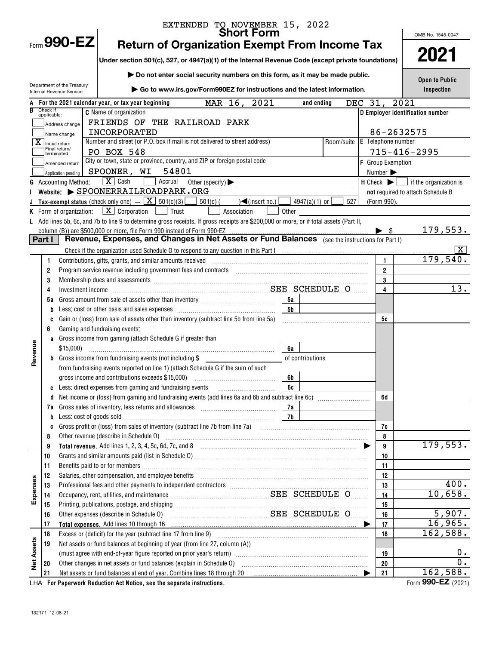|                   |                                                                                        |                                                         | EXTENDED TO NOVEMBER 15, 2022                                                                                                                                                                                                          |                      |                                |     |                          |                                                                       |  |  |
|-------------------|----------------------------------------------------------------------------------------|---------------------------------------------------------|----------------------------------------------------------------------------------------------------------------------------------------------------------------------------------------------------------------------------------------|----------------------|--------------------------------|-----|--------------------------|-----------------------------------------------------------------------|--|--|
|                   |                                                                                        | Form $990$ -EZ                                          | <b>Short Form</b>                                                                                                                                                                                                                      |                      |                                |     |                          | OMB No. 1545-0047                                                     |  |  |
|                   |                                                                                        |                                                         | <b>Return of Organization Exempt From Income Tax</b>                                                                                                                                                                                   |                      |                                |     |                          |                                                                       |  |  |
|                   |                                                                                        |                                                         | Under section 501(c), 527, or 4947(a)(1) of the Internal Revenue Code (except private foundations)                                                                                                                                     |                      |                                |     |                          | 2021                                                                  |  |  |
|                   |                                                                                        |                                                         | Do not enter social security numbers on this form, as it may be made public.                                                                                                                                                           |                      |                                |     |                          | <b>Open to Public</b>                                                 |  |  |
|                   |                                                                                        | Department of the Treasury<br>Internal Revenue Service  | ▶ Go to www.irs.gov/Form990EZ for instructions and the latest information.                                                                                                                                                             |                      |                                |     |                          | Inspection                                                            |  |  |
|                   |                                                                                        |                                                         |                                                                                                                                                                                                                                        |                      |                                |     |                          |                                                                       |  |  |
|                   | Check if                                                                               |                                                         | 2021<br>MAR 16,<br>For the 2021 calendar year, or tax year beginning<br><b>C</b> Name of organization                                                                                                                                  |                      | <b>DEC</b><br>and ending       | 31, |                          | 2021<br>D Employer identification number                              |  |  |
|                   | applicable:                                                                            |                                                         |                                                                                                                                                                                                                                        |                      |                                |     |                          |                                                                       |  |  |
|                   | FRIENDS OF THE RAILROAD PARK<br>Address change<br>INCORPORATED                         |                                                         |                                                                                                                                                                                                                                        |                      |                                |     | 86-2632575               |                                                                       |  |  |
|                   |                                                                                        | Name change                                             | Number and street (or P.O. box if mail is not delivered to street address)                                                                                                                                                             |                      | Room/suite                     |     | E Telephone number       |                                                                       |  |  |
|                   |                                                                                        | $\overline{\mathbf{X}}$ Initial return<br>Final return/ | PO BOX 548                                                                                                                                                                                                                             |                      |                                |     |                          | $715 - 416 - 2995$                                                    |  |  |
|                   | terminated<br>City or town, state or province, country, and ZIP or foreign postal code |                                                         |                                                                                                                                                                                                                                        |                      |                                |     | <b>F</b> Group Exemption |                                                                       |  |  |
|                   | Amended return<br>SPOONER, WI<br>54801<br>Application pending                          |                                                         |                                                                                                                                                                                                                                        |                      |                                |     | Number >                 |                                                                       |  |  |
| G                 |                                                                                        | <b>Accounting Method:</b>                               | $\boxed{\mathbf{X}}$ Cash<br>Accrual<br>Other (specify) $\blacktriangleright$                                                                                                                                                          |                      |                                |     |                          | $H$ Check $\blacktriangleright$ $\blacksquare$ if the organization is |  |  |
|                   |                                                                                        |                                                         | Website: SPOONERRAILROADPARK.ORG                                                                                                                                                                                                       |                      |                                |     |                          | not required to attach Schedule B                                     |  |  |
|                   |                                                                                        |                                                         | Tax-exempt status (check only one) $-\boxed{\mathbf{X}}$ 501(c)(3) $\boxed{\phantom{1}}$<br>$501(c)$ (<br>$\sqrt{\frac{2}{1}}$ (insert no.)                                                                                            |                      | 527<br>$4947(a)(1)$ or $\vert$ |     | (Form 990).              |                                                                       |  |  |
|                   |                                                                                        |                                                         | <b>K</b> Form of organization: $X \mid X$ Corporation<br>$\Box$ Trust<br>Association                                                                                                                                                   | Other                |                                |     |                          |                                                                       |  |  |
|                   |                                                                                        |                                                         | L Add lines 5b, 6c, and 7b to line 9 to determine gross receipts. If gross receipts are \$200,000 or more, or if total assets (Part II,                                                                                                |                      |                                |     |                          |                                                                       |  |  |
|                   |                                                                                        |                                                         | column (B)) are \$500,000 or more, file Form 990 instead of Form 990-EZ                                                                                                                                                                |                      |                                |     | $\blacktriangleright$ s  | 179,553.                                                              |  |  |
|                   | Part I                                                                                 |                                                         |                                                                                                                                                                                                                                        |                      |                                |     |                          |                                                                       |  |  |
|                   |                                                                                        |                                                         | Check if the organization used Schedule O to respond to any question in this Part Information containsation users and the organization users and the organization users are contained by the state of the state of the state o         |                      |                                |     |                          | $\mathbf{X}$                                                          |  |  |
|                   | 1                                                                                      |                                                         | Contributions, gifts, grants, and similar amounts received                                                                                                                                                                             |                      |                                |     | $\mathbf{1}$             | 179,540.                                                              |  |  |
|                   | 2                                                                                      |                                                         |                                                                                                                                                                                                                                        |                      |                                |     | $\overline{\mathbf{2}}$  |                                                                       |  |  |
|                   | 3                                                                                      |                                                         | Membership dues and assessments [111] Membership dues and assessments [11] Membership dues and assessments [11                                                                                                                         |                      |                                |     | 3                        | $\overline{13}$ .                                                     |  |  |
|                   | 4                                                                                      |                                                         |                                                                                                                                                                                                                                        |                      |                                |     | 4                        |                                                                       |  |  |
|                   | 5а                                                                                     |                                                         |                                                                                                                                                                                                                                        | 5а<br>5 <sub>b</sub> |                                |     |                          |                                                                       |  |  |
|                   | b<br>C                                                                                 |                                                         | Gain or (loss) from sale of assets other than inventory (subtract line 5b from line 5a)                                                                                                                                                |                      |                                |     | 5c                       |                                                                       |  |  |
|                   | 6                                                                                      |                                                         | Gaming and fundraising events:                                                                                                                                                                                                         |                      |                                |     |                          |                                                                       |  |  |
|                   | a                                                                                      |                                                         | Gross income from gaming (attach Schedule G if greater than                                                                                                                                                                            |                      |                                |     |                          |                                                                       |  |  |
| Revenue           |                                                                                        | \$15,000)                                               |                                                                                                                                                                                                                                        | 6a                   |                                |     |                          |                                                                       |  |  |
|                   | b                                                                                      |                                                         | Gross income from fundraising events (not including \$                                                                                                                                                                                 |                      | of contributions               |     |                          |                                                                       |  |  |
|                   |                                                                                        |                                                         | from fundraising events reported on line 1) (attach Schedule G if the sum of such                                                                                                                                                      |                      |                                |     |                          |                                                                       |  |  |
|                   |                                                                                        |                                                         |                                                                                                                                                                                                                                        | 6b                   |                                |     |                          |                                                                       |  |  |
|                   |                                                                                        |                                                         | Less: direct expenses from gaming and fundraising events <i>miniminiminimining</i>                                                                                                                                                     | 6c                   |                                |     |                          |                                                                       |  |  |
|                   | d                                                                                      |                                                         | Net income or (loss) from gaming and fundraising events (add lines 6a and 6b and subtract line 6c)                                                                                                                                     |                      |                                |     | 6d                       |                                                                       |  |  |
|                   | 7a                                                                                     |                                                         |                                                                                                                                                                                                                                        | 7a                   |                                |     |                          |                                                                       |  |  |
|                   | b                                                                                      |                                                         |                                                                                                                                                                                                                                        | 7 <sub>b</sub>       |                                |     |                          |                                                                       |  |  |
|                   | C                                                                                      |                                                         |                                                                                                                                                                                                                                        |                      |                                |     | 7c<br>8                  |                                                                       |  |  |
|                   | 8<br>9                                                                                 |                                                         | Other revenue (describe in Schedule O) <sub>machov</sub> manufacture in the contract of the state of the state of the state of the state of the state of the state of the state of the state of the state of the state of the state of |                      |                                |     | 9                        | 179,553.                                                              |  |  |
|                   | 10                                                                                     |                                                         |                                                                                                                                                                                                                                        |                      |                                |     | 10                       |                                                                       |  |  |
|                   | 11                                                                                     |                                                         |                                                                                                                                                                                                                                        |                      |                                |     | 11                       |                                                                       |  |  |
|                   | 12                                                                                     |                                                         | Salaries, other compensation, and employee benefits [11] matter content to the compensation, and employee benefits [11] matter compensation and employee benefits [11] matter compensation and the competition of the competit         |                      |                                |     | 12                       |                                                                       |  |  |
|                   | 13                                                                                     |                                                         | Professional fees and other payments to independent contractors [11] matter contractors [11] professional fees and other payments to independent contractors [11] matter contractors and the Professional fees and the Profess         |                      |                                |     | 13                       | 400.                                                                  |  |  |
| Expenses          | 14                                                                                     |                                                         | Occupancy, rent, utilities, and maintenance Material Material SEE SCHEDULE O                                                                                                                                                           |                      |                                |     | 14                       | 10,658.                                                               |  |  |
|                   | 15                                                                                     |                                                         | Printing, publications, postage, and shipping manufactured and contained and state and state and state and str                                                                                                                         |                      |                                |     | 15                       |                                                                       |  |  |
|                   | 16                                                                                     |                                                         | SEE SCHEDULE O<br>Other expenses (describe in Schedule O)                                                                                                                                                                              |                      |                                |     | 16                       | 5,907.                                                                |  |  |
|                   | 17                                                                                     |                                                         |                                                                                                                                                                                                                                        |                      |                                |     | 17                       | 16,965.                                                               |  |  |
|                   | 18                                                                                     |                                                         | Excess or (deficit) for the year (subtract line 17 from line 9)                                                                                                                                                                        |                      |                                |     | 18                       | 162,588.                                                              |  |  |
|                   | 19                                                                                     |                                                         | Net assets or fund balances at beginning of year (from line 27, column (A))                                                                                                                                                            |                      |                                |     |                          |                                                                       |  |  |
| <b>Net Assets</b> |                                                                                        |                                                         |                                                                                                                                                                                                                                        |                      |                                |     | 19                       | 0.                                                                    |  |  |
|                   | 20                                                                                     |                                                         | Other changes in net assets or fund balances (explain in Schedule O)                                                                                                                                                                   |                      |                                |     | 20                       | 0.                                                                    |  |  |
|                   | 21                                                                                     |                                                         | Net assets or fund balances at end of year. Combine lines 18 through 20 [11, 120] Met assets or fund balances at end of year. Combine lines 18 through 20                                                                              |                      |                                |     | 21                       | 162,588.<br>Form 990-EZ (2021)                                        |  |  |
|                   |                                                                                        |                                                         | LHA For Paperwork Reduction Act Notice, see the separate instructions.                                                                                                                                                                 |                      |                                |     |                          |                                                                       |  |  |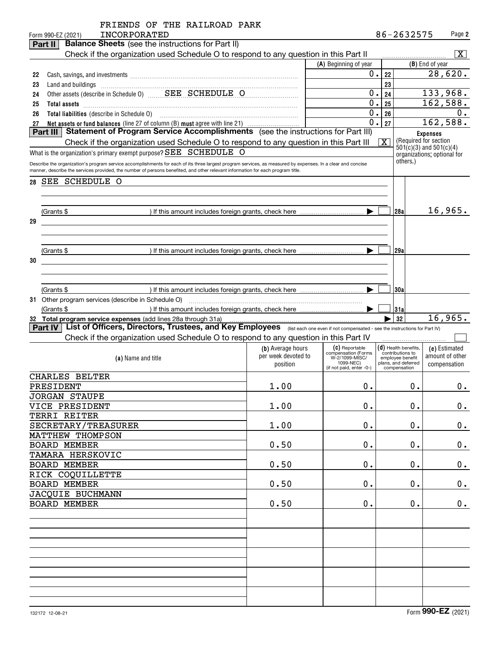|    |            | FRIENDS OF THE RAILROAD PARK<br><b>INCORPORATED</b><br>Form 990-EZ (2021)                                                                                                                                                                                                                      |                     |                                       |                         | 86-2632575                                 |                 | Page 2          |
|----|------------|------------------------------------------------------------------------------------------------------------------------------------------------------------------------------------------------------------------------------------------------------------------------------------------------|---------------------|---------------------------------------|-------------------------|--------------------------------------------|-----------------|-----------------|
|    | Part II    | <b>Balance Sheets</b> (see the instructions for Part II)                                                                                                                                                                                                                                       |                     |                                       |                         |                                            |                 |                 |
|    |            | Check if the organization used Schedule O to respond to any question in this Part II                                                                                                                                                                                                           |                     |                                       |                         |                                            |                 | X               |
|    |            |                                                                                                                                                                                                                                                                                                |                     | (A) Beginning of year                 |                         |                                            | (B) End of year |                 |
|    |            |                                                                                                                                                                                                                                                                                                |                     | $0$ .                                 |                         |                                            |                 | 28,620.         |
| 22 |            |                                                                                                                                                                                                                                                                                                |                     |                                       | 22                      |                                            |                 |                 |
| 23 |            | Land and buildings [11] manufactured and and buildings [11] manufactured and buildings [11] manufactured and buildings                                                                                                                                                                         |                     |                                       | 23                      |                                            |                 |                 |
| 24 |            |                                                                                                                                                                                                                                                                                                |                     | 0.                                    | 24                      |                                            | 133,968.        |                 |
| 25 |            | Total assets <b>communications</b> and assets <b>and assets communications contract to the contract of the contract of the contract of the contract of the contract of the contract of the contract of the contract of the contra</b>                                                          |                     | 0.                                    | 25                      |                                            | 162,588.        |                 |
| 26 |            |                                                                                                                                                                                                                                                                                                |                     | 0.                                    | 26                      |                                            |                 | 0.              |
| 27 |            | Net assets or fund balances (line 27 of column (B) must agree with line 21)                                                                                                                                                                                                                    |                     | $\overline{0}$ .                      | 27                      |                                            | 162,588.        |                 |
|    | Part III   | Statement of Program Service Accomplishments (see the instructions for Part III)                                                                                                                                                                                                               |                     |                                       |                         |                                            | <b>Expenses</b> |                 |
|    |            | Check if the organization used Schedule O to respond to any question in this Part III                                                                                                                                                                                                          |                     |                                       | $\overline{\mathbf{x}}$ | (Required for section                      |                 |                 |
|    |            | What is the organization's primary exempt purpose? SEE SCHEDULE O                                                                                                                                                                                                                              |                     |                                       |                         | $501(c)(3)$ and $501(c)(4)$                |                 |                 |
|    |            |                                                                                                                                                                                                                                                                                                |                     |                                       |                         | organizations; optional for<br>others.)    |                 |                 |
|    |            | Describe the organization's program service accomplishments for each of its three largest program services, as measured by expenses. In a clear and concise<br>manner, describe the services provided, the number of persons benefited, and other relevant information for each program title. |                     |                                       |                         |                                            |                 |                 |
|    |            |                                                                                                                                                                                                                                                                                                |                     |                                       |                         |                                            |                 |                 |
| 28 |            | SEE SCHEDULE O                                                                                                                                                                                                                                                                                 |                     |                                       |                         |                                            |                 |                 |
|    |            |                                                                                                                                                                                                                                                                                                |                     |                                       |                         |                                            |                 |                 |
|    |            |                                                                                                                                                                                                                                                                                                |                     |                                       |                         |                                            |                 |                 |
|    | (Grants \$ |                                                                                                                                                                                                                                                                                                |                     |                                       |                         | 28a                                        |                 | 16,965.         |
| 29 |            |                                                                                                                                                                                                                                                                                                |                     |                                       |                         |                                            |                 |                 |
|    |            |                                                                                                                                                                                                                                                                                                |                     |                                       |                         |                                            |                 |                 |
|    |            |                                                                                                                                                                                                                                                                                                |                     |                                       |                         |                                            |                 |                 |
|    |            |                                                                                                                                                                                                                                                                                                |                     |                                       |                         |                                            |                 |                 |
|    | (Grants \$ |                                                                                                                                                                                                                                                                                                |                     |                                       |                         | 129a                                       |                 |                 |
| 30 |            |                                                                                                                                                                                                                                                                                                |                     |                                       |                         |                                            |                 |                 |
|    |            |                                                                                                                                                                                                                                                                                                |                     |                                       |                         |                                            |                 |                 |
|    |            |                                                                                                                                                                                                                                                                                                |                     |                                       |                         |                                            |                 |                 |
|    | (Grants \$ |                                                                                                                                                                                                                                                                                                |                     |                                       |                         | 130a                                       |                 |                 |
|    |            |                                                                                                                                                                                                                                                                                                |                     |                                       |                         |                                            |                 |                 |
|    | (Grants \$ |                                                                                                                                                                                                                                                                                                |                     |                                       |                         | 31a                                        |                 |                 |
|    |            | 32 Total program service expenses (add lines 28a through 31a)                                                                                                                                                                                                                                  |                     |                                       |                         | 32                                         |                 | 16,965.         |
|    | Part IV    | List of Officers, Directors, Trustees, and Key Employees (list each one even if not compensated - see the instructions for Part IV)                                                                                                                                                            |                     |                                       |                         |                                            |                 |                 |
|    |            |                                                                                                                                                                                                                                                                                                |                     |                                       |                         |                                            |                 |                 |
|    |            | Check if the organization used Schedule O to respond to any question in this Part IV                                                                                                                                                                                                           |                     |                                       |                         |                                            |                 |                 |
|    |            |                                                                                                                                                                                                                                                                                                | (b) Average hours   | (C) Reportable<br>compensation (Forms |                         | $(d)$ Health benefits,<br>contributions to |                 | (e) Estimated   |
|    |            | (a) Name and title                                                                                                                                                                                                                                                                             | per week devoted to | W-2/1099-MISC/<br>1099-NEC)           |                         | employee benefit<br>plans, and deferred    |                 | amount of other |
|    |            |                                                                                                                                                                                                                                                                                                | position            | (if not paid, enter -0-)              |                         | compensation                               |                 | compensation    |
|    |            | CHARLES BELTER                                                                                                                                                                                                                                                                                 |                     |                                       |                         |                                            |                 |                 |
|    |            | PRESIDENT                                                                                                                                                                                                                                                                                      | 1.00                | 0.                                    |                         | 0.                                         |                 | $0$ .           |
|    |            | <b>JORGAN STAUPE</b>                                                                                                                                                                                                                                                                           |                     |                                       |                         |                                            |                 |                 |
|    |            | VICE PRESIDENT                                                                                                                                                                                                                                                                                 | 1.00                | 0.                                    |                         | $\mathbf 0$ .                              |                 | $0$ .           |
|    |            | TERRI REITER                                                                                                                                                                                                                                                                                   |                     |                                       |                         |                                            |                 |                 |
|    |            |                                                                                                                                                                                                                                                                                                |                     |                                       |                         |                                            |                 |                 |
|    |            | SECRETARY/TREASURER                                                                                                                                                                                                                                                                            | 1.00                | 0.                                    |                         | $\mathbf 0$ .                              |                 | 0.              |
|    |            | MATTHEW THOMPSON                                                                                                                                                                                                                                                                               |                     |                                       |                         |                                            |                 |                 |
|    |            | <b>BOARD MEMBER</b>                                                                                                                                                                                                                                                                            | 0.50                | 0.                                    |                         | $\mathbf 0$ .                              |                 | 0.              |
|    |            | <b>TAMARA HERSKOVIC</b>                                                                                                                                                                                                                                                                        |                     |                                       |                         |                                            |                 |                 |
|    |            | <b>BOARD MEMBER</b>                                                                                                                                                                                                                                                                            | 0.50                | 0.                                    |                         | $\mathbf 0$ .                              |                 | 0.              |
|    |            | RICK COQUILLETTE                                                                                                                                                                                                                                                                               |                     |                                       |                         |                                            |                 |                 |
|    |            | <b>BOARD MEMBER</b>                                                                                                                                                                                                                                                                            | 0.50                | 0.                                    |                         | $\mathbf 0$ .                              |                 | 0.              |
|    |            | JACQUIE BUCHMANN                                                                                                                                                                                                                                                                               |                     |                                       |                         |                                            |                 |                 |
|    |            |                                                                                                                                                                                                                                                                                                |                     |                                       |                         |                                            |                 |                 |
|    |            | <b>BOARD MEMBER</b>                                                                                                                                                                                                                                                                            | 0.50                | 0.                                    |                         | $\mathbf 0$ .                              |                 | 0.              |
|    |            |                                                                                                                                                                                                                                                                                                |                     |                                       |                         |                                            |                 |                 |
|    |            |                                                                                                                                                                                                                                                                                                |                     |                                       |                         |                                            |                 |                 |
|    |            |                                                                                                                                                                                                                                                                                                |                     |                                       |                         |                                            |                 |                 |
|    |            |                                                                                                                                                                                                                                                                                                |                     |                                       |                         |                                            |                 |                 |
|    |            |                                                                                                                                                                                                                                                                                                |                     |                                       |                         |                                            |                 |                 |
|    |            |                                                                                                                                                                                                                                                                                                |                     |                                       |                         |                                            |                 |                 |
|    |            |                                                                                                                                                                                                                                                                                                |                     |                                       |                         |                                            |                 |                 |
|    |            |                                                                                                                                                                                                                                                                                                |                     |                                       |                         |                                            |                 |                 |
|    |            |                                                                                                                                                                                                                                                                                                |                     |                                       |                         |                                            |                 |                 |
|    |            |                                                                                                                                                                                                                                                                                                |                     |                                       |                         |                                            |                 |                 |
|    |            |                                                                                                                                                                                                                                                                                                |                     |                                       |                         |                                            |                 |                 |
|    |            |                                                                                                                                                                                                                                                                                                |                     |                                       |                         |                                            |                 |                 |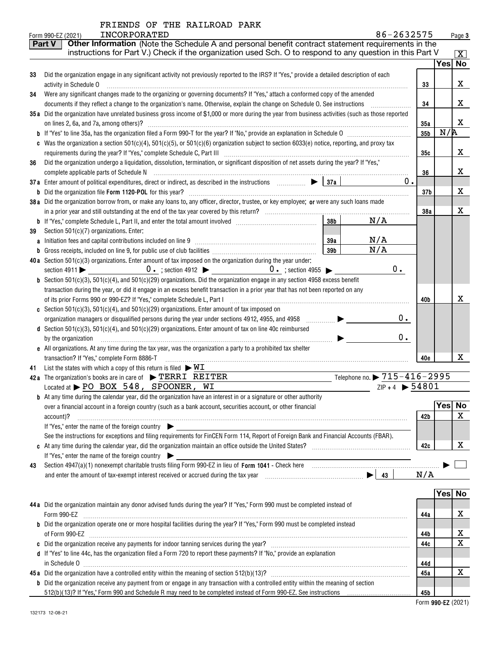| FRIENDS OF THE RAILROAD PARK |  |  |  |  |  |
|------------------------------|--|--|--|--|--|
|------------------------------|--|--|--|--|--|

|    | 86-2632575<br><b>INCORPORATED</b><br>Form 990-EZ (2021)                                                                                                                      |                 |        | Page 3              |
|----|------------------------------------------------------------------------------------------------------------------------------------------------------------------------------|-----------------|--------|---------------------|
|    | Other Information (Note the Schedule A and personal benefit contract statement requirements in the<br><b>Part V</b>                                                          |                 |        |                     |
|    | instructions for Part V.) Check if the organization used Sch. O to respond to any question in this Part V                                                                    |                 |        | $\lfloor x \rfloor$ |
|    |                                                                                                                                                                              |                 | Yes No |                     |
| 33 | Did the organization engage in any significant activity not previously reported to the IRS? If "Yes," provide a detailed description of each                                 |                 |        |                     |
|    | activity in Schedule O                                                                                                                                                       | 33              |        | x                   |
| 34 | Were any significant changes made to the organizing or governing documents? If "Yes," attach a conformed copy of the amended                                                 |                 |        |                     |
|    | documents if they reflect a change to the organization's name. Otherwise, explain the change on Schedule O. See instructions                                                 | 34              |        | x                   |
|    | 35a Did the organization have unrelated business gross income of \$1,000 or more during the year from business activities (such as those reported                            |                 |        |                     |
|    | on lines 2, 6a, and 7a, among others)?                                                                                                                                       | 35a             |        | X                   |
|    |                                                                                                                                                                              | 35 <sub>b</sub> | N/R    |                     |
|    | c Was the organization a section 501(c)(4), 501(c)(5), or 501(c)(6) organization subject to section 6033(e) notice, reporting, and proxy tax                                 |                 |        |                     |
|    |                                                                                                                                                                              | 35с             |        | x                   |
| 36 | Did the organization undergo a liquidation, dissolution, termination, or significant disposition of net assets during the year? If "Yes,"                                    |                 |        |                     |
|    |                                                                                                                                                                              | 36              |        | x                   |
|    | 37a Enter amount of political expenditures, direct or indirect, as described in the instructions $\Box$ $\Box$ $\Box$ 37a<br>$0$ .                                           |                 |        |                     |
|    |                                                                                                                                                                              | 37 <sub>b</sub> |        | х                   |
|    | 38a Did the organization borrow from, or make any loans to, any officer, director, trustee, or key employee; or were any such loans made                                     |                 |        |                     |
|    |                                                                                                                                                                              | 38a             |        | х                   |
|    | 38 <sub>b</sub><br>N/A                                                                                                                                                       |                 |        |                     |
| 39 | Section 501(c)(7) organizations. Enter:                                                                                                                                      |                 |        |                     |
|    | N/A<br>39a                                                                                                                                                                   |                 |        |                     |
|    | N/A<br>39b                                                                                                                                                                   |                 |        |                     |
|    | 40a Section $501(c)(3)$ organizations. Enter amount of tax imposed on the organization during the year under:                                                                |                 |        |                     |
|    | $0 \cdot$                                                                                                                                                                    |                 |        |                     |
|    | <b>b</b> Section 501(c)(3), 501(c)(4), and 501(c)(29) organizations. Did the organization engage in any section 4958 excess benefit                                          |                 |        |                     |
|    | transaction during the year, or did it engage in an excess benefit transaction in a prior year that has not been reported on any                                             |                 |        |                     |
|    | of its prior Forms 990 or 990-EZ? If "Yes," complete Schedule L, Part I [1] [1] [1] [1] [1] [1] [1] [1] [1] [1                                                               | 40b             |        | х                   |
|    | c Section 501(c)(3), 501(c)(4), and 501(c)(29) organizations. Enter amount of tax imposed on                                                                                 |                 |        |                     |
|    | 0.<br>organization managers or disqualified persons during the year under sections 4912, 4955, and 4958<br>.                                                                 |                 |        |                     |
|    | d Section 501(c)(3), 501(c)(4), and 501(c)(29) organizations. Enter amount of tax on line 40c reimbursed                                                                     |                 |        |                     |
|    | $0$ .<br>by the organization                                                                                                                                                 |                 |        |                     |
|    | e All organizations. At any time during the tax year, was the organization a party to a prohibited tax shelter                                                               |                 |        |                     |
|    | transaction? If "Yes," complete Form 8886-T                                                                                                                                  | 40e             |        | х                   |
| 41 | List the states with which a copy of this return is filed $\triangleright \texttt{WL}$                                                                                       |                 |        |                     |
|    | Telephone no. $\blacktriangleright$ $715 - 416 - 2995$<br>42a The organization's books are in care of $\blacktriangleright$ TERRI REITER<br>$ZIP + 4$ $\triangleright$ 54801 |                 |        |                     |
|    | Located at $\blacktriangleright$ PO BOX 548, SPOONER, WI                                                                                                                     |                 |        |                     |
|    | <b>b</b> At any time during the calendar year, did the organization have an interest in or a signature or other authority                                                    |                 | Yes    | No                  |
|    | over a financial account in a foreign country (such as a bank account, securities account, or other financial                                                                |                 |        | $\mathbf X$         |
|    | account)?<br>If "Yes," enter the name of the foreign country                                                                                                                 | 42b             |        |                     |
|    | See the instructions for exceptions and filing requirements for FinCEN Form 114, Report of Foreign Bank and Financial Accounts (FBAR).                                       |                 |        |                     |
|    |                                                                                                                                                                              | 42c             |        | X                   |
|    | If "Yes," enter the name of the foreign country                                                                                                                              |                 |        |                     |
| 43 |                                                                                                                                                                              |                 |        |                     |
|    |                                                                                                                                                                              | N/A             |        |                     |
|    |                                                                                                                                                                              |                 |        |                     |
|    |                                                                                                                                                                              |                 |        | Yes No              |
|    | 44a Did the organization maintain any donor advised funds during the year? If "Yes," Form 990 must be completed instead of                                                   |                 |        |                     |
|    | Form 990-EZ                                                                                                                                                                  | 44a             |        | х                   |
|    | <b>b</b> Did the organization operate one or more hospital facilities during the year? If "Yes," Form 990 must be completed instead                                          |                 |        |                     |
|    |                                                                                                                                                                              | 44b             |        | х                   |
|    |                                                                                                                                                                              | 44c             |        | $\mathbf X$         |
|    | d If "Yes" to line 44c, has the organization filed a Form 720 to report these payments? If "No," provide an explanation                                                      |                 |        |                     |
|    | in Schedule 0                                                                                                                                                                | 44d             |        |                     |
|    |                                                                                                                                                                              | 45a             |        | X                   |
|    | <b>b</b> Did the organization receive any payment from or engage in any transaction with a controlled entity within the meaning of section                                   |                 |        |                     |

|  |  | 512(b)(13)? If "Yes," Form 990 and Schedule R may need to be completed instead of Form 990-EZ. See instructions |  |
|--|--|-----------------------------------------------------------------------------------------------------------------|--|
|  |  |                                                                                                                 |  |

**45b**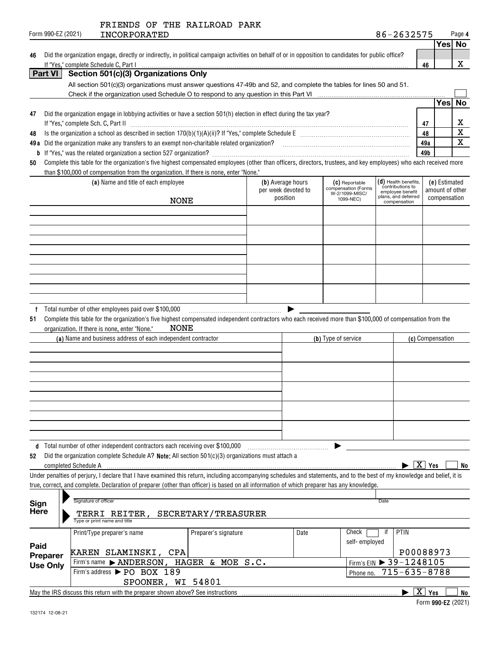|                   | ____ |
|-------------------|------|
| nrm 990-F7 (2021) | ותד  |

| Form 990-EZ (2021) | INCORPORATED | 639575<br>--<br>zo.<br>د: ک |   | Page 4 |
|--------------------|--------------|-----------------------------|---|--------|
|                    |              |                             | . |        |

**46**

|  | 46 Did the organization engage, directly or indirectly, in political campaign activities on behalf of or in opposition to candidates for public office? |
|--|---------------------------------------------------------------------------------------------------------------------------------------------------------|
|  | If "Yes," complete Schedule C. Part I ………………………………………………………………………………                                                                                    |
|  | Part VI   Section 501(c)(3) Organizations Only                                                                                                          |

|    |                                                                                                                                                                    |     | 'es |  |
|----|--------------------------------------------------------------------------------------------------------------------------------------------------------------------|-----|-----|--|
| 47 | Did the organization engage in lobbying activities or have a section 501(h) election in effect during the tax year?                                                |     |     |  |
|    | If "Yes," complete Sch. C, Part II                                                                                                                                 | 47  |     |  |
| 48 | Is the organization a school as described in section 170(b)(1)(A)(ii)? If "Yes," complete Schedule E                                                               | 48  |     |  |
|    | 49 a Did the organization make any transfers to an exempt non-charitable related organization?                                                                     | 49a |     |  |
|    | <b>b</b> If "Yes," was the related organization a section 527 organization?                                                                                        | 49b |     |  |
| 50 | Complete this table for the organization's five highest compensated employees (other than officers, directors, trustees, and key employees) who each received more |     |     |  |
|    | than \$100,000 of compensation from the organization. If there is none, enter "None."                                                                              |     |     |  |

| (a) Name and title of each employee<br><b>NONE</b> | (b) Average hours<br>per week devoted to<br>position | (C) Reportable<br>compensation (Forms<br>W-2/1099-MISC/<br>1099-NEC) | (d) Health benefits,<br>contributions to<br>employee benefit<br>plans, and deferred<br>compensation | (e) Estimated<br>amount of other<br>compensation |
|----------------------------------------------------|------------------------------------------------------|----------------------------------------------------------------------|-----------------------------------------------------------------------------------------------------|--------------------------------------------------|
|                                                    |                                                      |                                                                      |                                                                                                     |                                                  |
|                                                    |                                                      |                                                                      |                                                                                                     |                                                  |
|                                                    |                                                      |                                                                      |                                                                                                     |                                                  |
|                                                    |                                                      |                                                                      |                                                                                                     |                                                  |
|                                                    |                                                      |                                                                      |                                                                                                     |                                                  |

|  | f Total number of other employees paid over \$100,000 |  |  |  |
|--|-------------------------------------------------------|--|--|--|
|--|-------------------------------------------------------|--|--|--|

**51**Complete this table for the organization's five highest compensated independent contractors who each received more than \$100,000 of compensation from the organization. If there is none, enter "None." NONE

| (a) Name and business address of each independent contractor | (b) Type of service | (c) Compensation |
|--------------------------------------------------------------|---------------------|------------------|
|                                                              |                     |                  |
|                                                              |                     |                  |
|                                                              |                     |                  |
|                                                              |                     |                  |
|                                                              |                     |                  |
|                                                              |                     |                  |
|                                                              |                     |                  |
|                                                              |                     |                  |
|                                                              |                     |                  |
|                                                              |                     |                  |

**d** Total number of other independent contractors each receiving over \$100,000  $\ldots$  |  $\ldots$  |  $\ldots$  |  $\ldots$  |  $\ldots$  |

**5252** Did the organization complete Schedule A? <code>Note:</code> All section 501(c)(3) organizations must attach a completed Schedule A

 $\blacktriangleright$   $\boxed{X}$   $\curlyvee$   $es$   $\boxed{\phantom{0}}$  No

Under penalties of perjury, I declare that I have examined this return, including accompanying schedules and statements, and to the best of my knowledge and belief, it is true, correct, and complete. Declaration of preparer (other than officer) is based on all information of which preparer has any knowledge.

| <b>Sign</b><br>Here | Signature of officer<br>REITER,<br>TERRI<br>Type or print name and title                                                          | SECRETARY/TREASURER  |      | Date                                              |                   |  |  |
|---------------------|-----------------------------------------------------------------------------------------------------------------------------------|----------------------|------|---------------------------------------------------|-------------------|--|--|
| Paid<br>Preparer    | Print/Type preparer's name<br>KAREN SLAMINSKI, CPA                                                                                | Preparer's signature | Date | Check<br>self-employed                            | PTIN<br>P00088973 |  |  |
| <b>Use Only</b>     | Firm's name > ANDERSON, HAGER & MOE S.C.<br>Firm's address > PO BOX 189                                                           |                      |      | Firm's EIN > 39-1248105<br>Phone no. 715-635-8788 |                   |  |  |
|                     | SPOONER, WI 54801<br>$\mathbf{x}$<br>Yes<br>May the IRS discuss this return with the preparer shown above? See instructions<br>No |                      |      |                                                   |                   |  |  |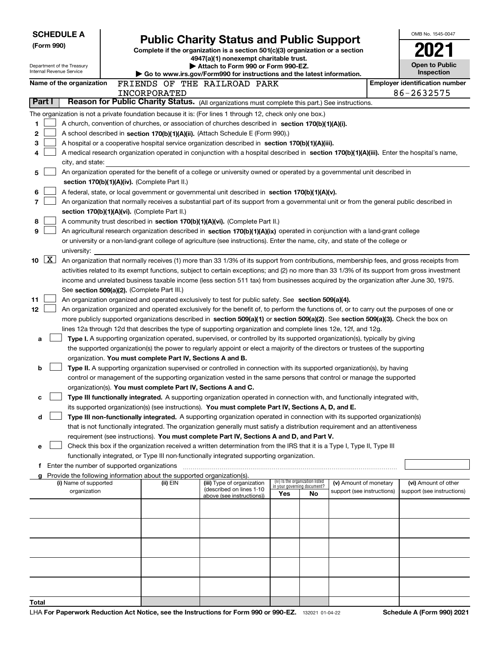| <b>SCHEDULE A</b><br>(Form 990)<br>Department of the Treasury<br>Internal Revenue Service |                     |                                               | <b>Public Charity Status and Public Support</b><br>Complete if the organization is a section 501(c)(3) organization or a section<br>4947(a)(1) nonexempt charitable trust.<br>Attach to Form 990 or Form 990-EZ.<br>Go to www.irs.gov/Form990 for instructions and the latest information. |                                                                                    |                                                                                                                                                                                                                                                 |                                    |                                 |                            |  | OMB No. 1545-0047<br><b>Open to Public</b><br>Inspection |
|-------------------------------------------------------------------------------------------|---------------------|-----------------------------------------------|--------------------------------------------------------------------------------------------------------------------------------------------------------------------------------------------------------------------------------------------------------------------------------------------|------------------------------------------------------------------------------------|-------------------------------------------------------------------------------------------------------------------------------------------------------------------------------------------------------------------------------------------------|------------------------------------|---------------------------------|----------------------------|--|----------------------------------------------------------|
|                                                                                           |                     | Name of the organization                      |                                                                                                                                                                                                                                                                                            |                                                                                    | FRIENDS OF THE RAILROAD PARK                                                                                                                                                                                                                    |                                    |                                 |                            |  | <b>Employer identification number</b>                    |
|                                                                                           |                     |                                               |                                                                                                                                                                                                                                                                                            | INCORPORATED                                                                       |                                                                                                                                                                                                                                                 |                                    |                                 |                            |  | 86-2632575                                               |
|                                                                                           | Part I              |                                               |                                                                                                                                                                                                                                                                                            |                                                                                    | Reason for Public Charity Status. (All organizations must complete this part.) See instructions.                                                                                                                                                |                                    |                                 |                            |  |                                                          |
|                                                                                           |                     |                                               |                                                                                                                                                                                                                                                                                            |                                                                                    | The organization is not a private foundation because it is: (For lines 1 through 12, check only one box.)                                                                                                                                       |                                    |                                 |                            |  |                                                          |
| 1                                                                                         |                     |                                               |                                                                                                                                                                                                                                                                                            |                                                                                    | A church, convention of churches, or association of churches described in section 170(b)(1)(A)(i).                                                                                                                                              |                                    |                                 |                            |  |                                                          |
| 2                                                                                         |                     |                                               |                                                                                                                                                                                                                                                                                            |                                                                                    | A school described in section 170(b)(1)(A)(ii). (Attach Schedule E (Form 990).)                                                                                                                                                                 |                                    |                                 |                            |  |                                                          |
| 3                                                                                         |                     |                                               |                                                                                                                                                                                                                                                                                            |                                                                                    | A hospital or a cooperative hospital service organization described in section 170(b)(1)(A)(iii).                                                                                                                                               |                                    |                                 |                            |  |                                                          |
|                                                                                           |                     |                                               |                                                                                                                                                                                                                                                                                            |                                                                                    | A medical research organization operated in conjunction with a hospital described in section 170(b)(1)(A)(iii). Enter the hospital's name,                                                                                                      |                                    |                                 |                            |  |                                                          |
|                                                                                           |                     | city, and state:                              |                                                                                                                                                                                                                                                                                            |                                                                                    |                                                                                                                                                                                                                                                 |                                    |                                 |                            |  |                                                          |
| 5                                                                                         |                     |                                               |                                                                                                                                                                                                                                                                                            |                                                                                    | An organization operated for the benefit of a college or university owned or operated by a governmental unit described in                                                                                                                       |                                    |                                 |                            |  |                                                          |
|                                                                                           |                     |                                               |                                                                                                                                                                                                                                                                                            | section 170(b)(1)(A)(iv). (Complete Part II.)                                      |                                                                                                                                                                                                                                                 |                                    |                                 |                            |  |                                                          |
| 6<br>7                                                                                    |                     |                                               |                                                                                                                                                                                                                                                                                            |                                                                                    | A federal, state, or local government or governmental unit described in section 170(b)(1)(A)(v).                                                                                                                                                |                                    |                                 |                            |  |                                                          |
|                                                                                           |                     |                                               |                                                                                                                                                                                                                                                                                            | section 170(b)(1)(A)(vi). (Complete Part II.)                                      | An organization that normally receives a substantial part of its support from a governmental unit or from the general public described in                                                                                                       |                                    |                                 |                            |  |                                                          |
| 8                                                                                         |                     |                                               |                                                                                                                                                                                                                                                                                            |                                                                                    | A community trust described in section 170(b)(1)(A)(vi). (Complete Part II.)                                                                                                                                                                    |                                    |                                 |                            |  |                                                          |
| 9                                                                                         |                     |                                               |                                                                                                                                                                                                                                                                                            |                                                                                    | An agricultural research organization described in section 170(b)(1)(A)(ix) operated in conjunction with a land-grant college                                                                                                                   |                                    |                                 |                            |  |                                                          |
|                                                                                           |                     |                                               |                                                                                                                                                                                                                                                                                            |                                                                                    | or university or a non-land-grant college of agriculture (see instructions). Enter the name, city, and state of the college or                                                                                                                  |                                    |                                 |                            |  |                                                          |
|                                                                                           |                     | university:                                   |                                                                                                                                                                                                                                                                                            |                                                                                    |                                                                                                                                                                                                                                                 |                                    |                                 |                            |  |                                                          |
| 10                                                                                        | $\lfloor x \rfloor$ |                                               |                                                                                                                                                                                                                                                                                            |                                                                                    | An organization that normally receives (1) more than 33 1/3% of its support from contributions, membership fees, and gross receipts from                                                                                                        |                                    |                                 |                            |  |                                                          |
|                                                                                           |                     |                                               |                                                                                                                                                                                                                                                                                            |                                                                                    | activities related to its exempt functions, subject to certain exceptions; and (2) no more than 33 1/3% of its support from gross investment                                                                                                    |                                    |                                 |                            |  |                                                          |
|                                                                                           |                     |                                               |                                                                                                                                                                                                                                                                                            |                                                                                    | income and unrelated business taxable income (less section 511 tax) from businesses acquired by the organization after June 30, 1975.                                                                                                           |                                    |                                 |                            |  |                                                          |
|                                                                                           |                     |                                               |                                                                                                                                                                                                                                                                                            | See section 509(a)(2). (Complete Part III.)                                        |                                                                                                                                                                                                                                                 |                                    |                                 |                            |  |                                                          |
| 11                                                                                        |                     |                                               |                                                                                                                                                                                                                                                                                            |                                                                                    | An organization organized and operated exclusively to test for public safety. See section 509(a)(4).                                                                                                                                            |                                    |                                 |                            |  |                                                          |
| 12                                                                                        |                     |                                               |                                                                                                                                                                                                                                                                                            |                                                                                    | An organization organized and operated exclusively for the benefit of, to perform the functions of, or to carry out the purposes of one or                                                                                                      |                                    |                                 |                            |  |                                                          |
|                                                                                           |                     |                                               |                                                                                                                                                                                                                                                                                            |                                                                                    | more publicly supported organizations described in section 509(a)(1) or section 509(a)(2). See section 509(a)(3). Check the box on                                                                                                              |                                    |                                 |                            |  |                                                          |
|                                                                                           |                     |                                               |                                                                                                                                                                                                                                                                                            |                                                                                    | lines 12a through 12d that describes the type of supporting organization and complete lines 12e, 12f, and 12g.                                                                                                                                  |                                    |                                 |                            |  |                                                          |
| a                                                                                         |                     |                                               |                                                                                                                                                                                                                                                                                            |                                                                                    | Type I. A supporting organization operated, supervised, or controlled by its supported organization(s), typically by giving                                                                                                                     |                                    |                                 |                            |  |                                                          |
|                                                                                           |                     |                                               |                                                                                                                                                                                                                                                                                            |                                                                                    | the supported organization(s) the power to regularly appoint or elect a majority of the directors or trustees of the supporting                                                                                                                 |                                    |                                 |                            |  |                                                          |
|                                                                                           |                     |                                               |                                                                                                                                                                                                                                                                                            | organization. You must complete Part IV, Sections A and B.                         |                                                                                                                                                                                                                                                 |                                    |                                 |                            |  |                                                          |
| b                                                                                         |                     |                                               |                                                                                                                                                                                                                                                                                            |                                                                                    | Type II. A supporting organization supervised or controlled in connection with its supported organization(s), by having<br>control or management of the supporting organization vested in the same persons that control or manage the supported |                                    |                                 |                            |  |                                                          |
|                                                                                           |                     |                                               |                                                                                                                                                                                                                                                                                            | organization(s). You must complete Part IV, Sections A and C.                      |                                                                                                                                                                                                                                                 |                                    |                                 |                            |  |                                                          |
| c                                                                                         |                     |                                               |                                                                                                                                                                                                                                                                                            |                                                                                    | Type III functionally integrated. A supporting organization operated in connection with, and functionally integrated with,                                                                                                                      |                                    |                                 |                            |  |                                                          |
|                                                                                           |                     |                                               |                                                                                                                                                                                                                                                                                            |                                                                                    | its supported organization(s) (see instructions). You must complete Part IV, Sections A, D, and E.                                                                                                                                              |                                    |                                 |                            |  |                                                          |
| d                                                                                         |                     |                                               |                                                                                                                                                                                                                                                                                            |                                                                                    | Type III non-functionally integrated. A supporting organization operated in connection with its supported organization(s)                                                                                                                       |                                    |                                 |                            |  |                                                          |
|                                                                                           |                     |                                               |                                                                                                                                                                                                                                                                                            |                                                                                    | that is not functionally integrated. The organization generally must satisfy a distribution requirement and an attentiveness                                                                                                                    |                                    |                                 |                            |  |                                                          |
|                                                                                           |                     |                                               |                                                                                                                                                                                                                                                                                            |                                                                                    | requirement (see instructions). You must complete Part IV, Sections A and D, and Part V.                                                                                                                                                        |                                    |                                 |                            |  |                                                          |
| е                                                                                         |                     |                                               |                                                                                                                                                                                                                                                                                            |                                                                                    | Check this box if the organization received a written determination from the IRS that it is a Type I, Type II, Type III                                                                                                                         |                                    |                                 |                            |  |                                                          |
|                                                                                           |                     |                                               |                                                                                                                                                                                                                                                                                            |                                                                                    | functionally integrated, or Type III non-functionally integrated supporting organization.                                                                                                                                                       |                                    |                                 |                            |  |                                                          |
|                                                                                           |                     | f Enter the number of supported organizations |                                                                                                                                                                                                                                                                                            |                                                                                    |                                                                                                                                                                                                                                                 |                                    |                                 |                            |  |                                                          |
|                                                                                           |                     | (i) Name of supported                         |                                                                                                                                                                                                                                                                                            | Provide the following information about the supported organization(s).<br>(ii) EIN | (iii) Type of organization                                                                                                                                                                                                                      |                                    | (iv) Is the organization listed | (v) Amount of monetary     |  | (vi) Amount of other                                     |
|                                                                                           |                     | organization                                  |                                                                                                                                                                                                                                                                                            |                                                                                    | (described on lines 1-10                                                                                                                                                                                                                        | in your governing document?<br>Yes | No                              | support (see instructions) |  | support (see instructions)                               |
|                                                                                           |                     |                                               |                                                                                                                                                                                                                                                                                            |                                                                                    | above (see instructions))                                                                                                                                                                                                                       |                                    |                                 |                            |  |                                                          |
|                                                                                           |                     |                                               |                                                                                                                                                                                                                                                                                            |                                                                                    |                                                                                                                                                                                                                                                 |                                    |                                 |                            |  |                                                          |
|                                                                                           |                     |                                               |                                                                                                                                                                                                                                                                                            |                                                                                    |                                                                                                                                                                                                                                                 |                                    |                                 |                            |  |                                                          |
|                                                                                           |                     |                                               |                                                                                                                                                                                                                                                                                            |                                                                                    |                                                                                                                                                                                                                                                 |                                    |                                 |                            |  |                                                          |
|                                                                                           |                     |                                               |                                                                                                                                                                                                                                                                                            |                                                                                    |                                                                                                                                                                                                                                                 |                                    |                                 |                            |  |                                                          |
|                                                                                           |                     |                                               |                                                                                                                                                                                                                                                                                            |                                                                                    |                                                                                                                                                                                                                                                 |                                    |                                 |                            |  |                                                          |
|                                                                                           |                     |                                               |                                                                                                                                                                                                                                                                                            |                                                                                    |                                                                                                                                                                                                                                                 |                                    |                                 |                            |  |                                                          |
|                                                                                           |                     |                                               |                                                                                                                                                                                                                                                                                            |                                                                                    |                                                                                                                                                                                                                                                 |                                    |                                 |                            |  |                                                          |
|                                                                                           |                     |                                               |                                                                                                                                                                                                                                                                                            |                                                                                    |                                                                                                                                                                                                                                                 |                                    |                                 |                            |  |                                                          |
|                                                                                           |                     |                                               |                                                                                                                                                                                                                                                                                            |                                                                                    |                                                                                                                                                                                                                                                 |                                    |                                 |                            |  |                                                          |
| Total                                                                                     |                     |                                               |                                                                                                                                                                                                                                                                                            |                                                                                    |                                                                                                                                                                                                                                                 |                                    |                                 |                            |  |                                                          |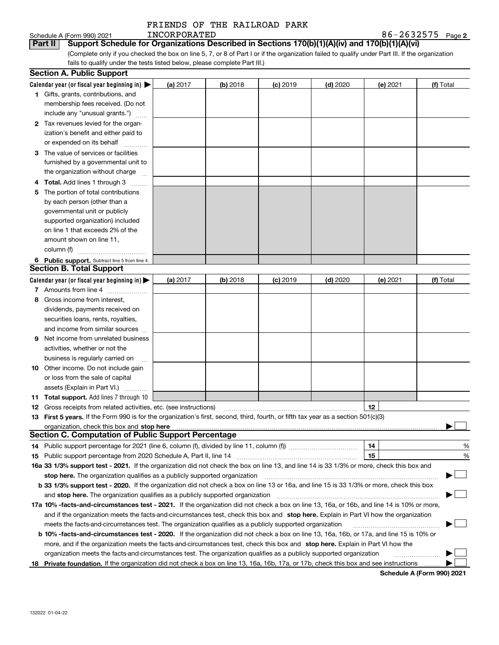|              |  | FRIENDS OF THE RAILROAD PARK |  |
|--------------|--|------------------------------|--|
| INCORPORATED |  |                              |  |

| $86 - 2632575$ Page 2 |  |
|-----------------------|--|
|-----------------------|--|

Schedule A (Form 990) 2021<br>**Part II** | Support Sch (Complete only if you checked the box on line 5, 7, or 8 of Part I or if the organization failed to qualify under Part III. If the organization fails to qualify under the tests listed below, please complete Part III.) **Part III Support Schedule for Organizations Described in Sections 170(b)(1)(A)(iv) and 170(b)(1)(A)(vi)** 

|     | <b>Section A. Public Support</b>                                                                                                                                                                                               |            |          |            |            |          |           |
|-----|--------------------------------------------------------------------------------------------------------------------------------------------------------------------------------------------------------------------------------|------------|----------|------------|------------|----------|-----------|
|     | Calendar year (or fiscal year beginning in) $\blacktriangleright$                                                                                                                                                              | (a) 2017   | (b) 2018 | $(c)$ 2019 | $(d)$ 2020 | (e) 2021 | (f) Total |
|     | <b>1</b> Gifts, grants, contributions, and                                                                                                                                                                                     |            |          |            |            |          |           |
|     | membership fees received. (Do not                                                                                                                                                                                              |            |          |            |            |          |           |
|     | include any "unusual grants.")                                                                                                                                                                                                 |            |          |            |            |          |           |
|     | 2 Tax revenues levied for the organ-                                                                                                                                                                                           |            |          |            |            |          |           |
|     | ization's benefit and either paid to                                                                                                                                                                                           |            |          |            |            |          |           |
|     | or expended on its behalf                                                                                                                                                                                                      |            |          |            |            |          |           |
|     | 3 The value of services or facilities                                                                                                                                                                                          |            |          |            |            |          |           |
|     | furnished by a governmental unit to                                                                                                                                                                                            |            |          |            |            |          |           |
|     | the organization without charge                                                                                                                                                                                                |            |          |            |            |          |           |
|     | <b>4 Total.</b> Add lines 1 through 3                                                                                                                                                                                          |            |          |            |            |          |           |
| 5.  | The portion of total contributions                                                                                                                                                                                             |            |          |            |            |          |           |
|     | by each person (other than a                                                                                                                                                                                                   |            |          |            |            |          |           |
|     | governmental unit or publicly                                                                                                                                                                                                  |            |          |            |            |          |           |
|     | supported organization) included                                                                                                                                                                                               |            |          |            |            |          |           |
|     | on line 1 that exceeds 2% of the                                                                                                                                                                                               |            |          |            |            |          |           |
|     | amount shown on line 11,                                                                                                                                                                                                       |            |          |            |            |          |           |
|     | column (f)                                                                                                                                                                                                                     |            |          |            |            |          |           |
|     | 6 Public support. Subtract line 5 from line 4.                                                                                                                                                                                 |            |          |            |            |          |           |
|     | <b>Section B. Total Support</b>                                                                                                                                                                                                |            |          |            |            |          |           |
|     | Calendar year (or fiscal year beginning in) $\blacktriangleright$                                                                                                                                                              | (a) $2017$ | (b) 2018 | $(c)$ 2019 | $(d)$ 2020 | (e) 2021 | (f) Total |
|     | 7 Amounts from line 4                                                                                                                                                                                                          |            |          |            |            |          |           |
|     | 8 Gross income from interest,                                                                                                                                                                                                  |            |          |            |            |          |           |
|     | dividends, payments received on                                                                                                                                                                                                |            |          |            |            |          |           |
|     | securities loans, rents, royalties,                                                                                                                                                                                            |            |          |            |            |          |           |
|     | and income from similar sources                                                                                                                                                                                                |            |          |            |            |          |           |
| 9.  | Net income from unrelated business                                                                                                                                                                                             |            |          |            |            |          |           |
|     | activities, whether or not the                                                                                                                                                                                                 |            |          |            |            |          |           |
|     | business is regularly carried on                                                                                                                                                                                               |            |          |            |            |          |           |
|     | <b>10</b> Other income. Do not include gain                                                                                                                                                                                    |            |          |            |            |          |           |
|     | or loss from the sale of capital                                                                                                                                                                                               |            |          |            |            |          |           |
|     | assets (Explain in Part VI.)                                                                                                                                                                                                   |            |          |            |            |          |           |
|     | <b>11 Total support.</b> Add lines 7 through 10                                                                                                                                                                                |            |          |            |            |          |           |
|     | <b>12</b> Gross receipts from related activities, etc. (see instructions)                                                                                                                                                      |            |          |            |            | 12       |           |
|     | 13 First 5 years. If the Form 990 is for the organization's first, second, third, fourth, or fifth tax year as a section 501(c)(3)                                                                                             |            |          |            |            |          |           |
|     | organization, check this box and stop here manufactured and the content of the state of the content of the content of the content of the content of the content of the content of the content of the content of the content of |            |          |            |            |          |           |
|     | <b>Section C. Computation of Public Support Percentage</b>                                                                                                                                                                     |            |          |            |            |          |           |
|     | 14 Public support percentage for 2021 (line 6, column (f), divided by line 11, column (f) <i>marroummaname</i>                                                                                                                 |            |          |            |            | 14       | %         |
|     |                                                                                                                                                                                                                                |            |          |            |            | 15       | %         |
|     | 16a 33 1/3% support test - 2021. If the organization did not check the box on line 13, and line 14 is 33 1/3% or more, check this box and                                                                                      |            |          |            |            |          |           |
|     | stop here. The organization qualifies as a publicly supported organization                                                                                                                                                     |            |          |            |            |          | ▔▁∣       |
|     | b 33 1/3% support test - 2020. If the organization did not check a box on line 13 or 16a, and line 15 is 33 1/3% or more, check this box                                                                                       |            |          |            |            |          |           |
|     | and stop here. The organization qualifies as a publicly supported organization                                                                                                                                                 |            |          |            |            |          |           |
|     | 17a 10% -facts-and-circumstances test - 2021. If the organization did not check a box on line 13, 16a, or 16b, and line 14 is 10% or more,                                                                                     |            |          |            |            |          |           |
|     | and if the organization meets the facts and circumstances test, check this box and stop here. Explain in Part VI how the organization                                                                                          |            |          |            |            |          |           |
|     | meets the facts-and-circumstances test. The organization qualifies as a publicly supported organization                                                                                                                        |            |          |            |            |          |           |
|     | <b>b 10% -facts-and-circumstances test - 2020.</b> If the organization did not check a box on line 13, 16a, 16b, or 17a, and line 15 is 10% or                                                                                 |            |          |            |            |          |           |
|     | more, and if the organization meets the facts-and-circumstances test, check this box and stop here. Explain in Part VI how the                                                                                                 |            |          |            |            |          |           |
|     | organization meets the facts-and-circumstances test. The organization qualifies as a publicly supported organization                                                                                                           |            |          |            |            |          |           |
| 18. | Private foundation. If the organization did not check a box on line 13, 16a, 16b, 17a, or 17b, check this box and see instructions                                                                                             |            |          |            |            |          |           |

**Schedule A (Form 990) 2021**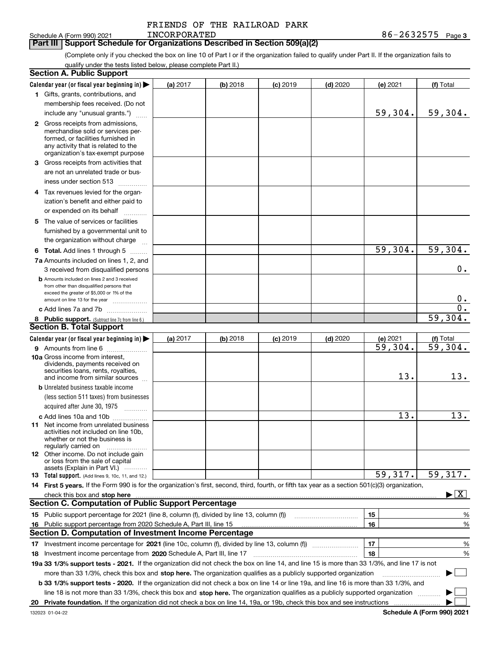|  | FRIENDS OF THE RAILROAD PARK |  |
|--|------------------------------|--|
|  |                              |  |

### **3** Schedule A (Form 990) 2021 Page **Part III Support Schedule for Organizations Described in Section 509(a)(2)**  INCORPORATED

(Complete only if you checked the box on line 10 of Part I or if the organization failed to qualify under Part II. If the organization fails to qualify under the tests listed below, please complete Part II.)

|    | <b>Section A. Public Support</b>                                                                                                                 |          |          |            |            |                       |                                          |
|----|--------------------------------------------------------------------------------------------------------------------------------------------------|----------|----------|------------|------------|-----------------------|------------------------------------------|
|    | Calendar year (or fiscal year beginning in)                                                                                                      | (a) 2017 | (b) 2018 | $(c)$ 2019 | $(d)$ 2020 | $(e)$ 2021            | (f) Total                                |
|    | 1 Gifts, grants, contributions, and                                                                                                              |          |          |            |            |                       |                                          |
|    | membership fees received. (Do not                                                                                                                |          |          |            |            |                       |                                          |
|    | include any "unusual grants.")                                                                                                                   |          |          |            |            | 59,304.               | 59,304.                                  |
|    | 2 Gross receipts from admissions,                                                                                                                |          |          |            |            |                       |                                          |
|    | merchandise sold or services per-                                                                                                                |          |          |            |            |                       |                                          |
|    | formed, or facilities furnished in                                                                                                               |          |          |            |            |                       |                                          |
|    | any activity that is related to the<br>organization's tax-exempt purpose                                                                         |          |          |            |            |                       |                                          |
|    | 3 Gross receipts from activities that                                                                                                            |          |          |            |            |                       |                                          |
|    | are not an unrelated trade or bus-                                                                                                               |          |          |            |            |                       |                                          |
|    | iness under section 513                                                                                                                          |          |          |            |            |                       |                                          |
|    |                                                                                                                                                  |          |          |            |            |                       |                                          |
|    | 4 Tax revenues levied for the organ-                                                                                                             |          |          |            |            |                       |                                          |
|    | ization's benefit and either paid to                                                                                                             |          |          |            |            |                       |                                          |
|    | or expended on its behalf<br>.                                                                                                                   |          |          |            |            |                       |                                          |
|    | 5 The value of services or facilities                                                                                                            |          |          |            |            |                       |                                          |
|    | furnished by a governmental unit to                                                                                                              |          |          |            |            |                       |                                          |
|    | the organization without charge                                                                                                                  |          |          |            |            |                       |                                          |
|    | <b>6 Total.</b> Add lines 1 through 5                                                                                                            |          |          |            |            | 59,304.               | 59,304.                                  |
|    | 7a Amounts included on lines 1, 2, and                                                                                                           |          |          |            |            |                       |                                          |
|    | 3 received from disqualified persons                                                                                                             |          |          |            |            |                       | 0.                                       |
|    | <b>b</b> Amounts included on lines 2 and 3 received                                                                                              |          |          |            |            |                       |                                          |
|    | from other than disqualified persons that<br>exceed the greater of \$5,000 or 1% of the                                                          |          |          |            |            |                       |                                          |
|    | amount on line 13 for the year                                                                                                                   |          |          |            |            |                       | $0$ .                                    |
|    | c Add lines 7a and 7b                                                                                                                            |          |          |            |            |                       | $\overline{0}$ .                         |
|    | 8 Public support. (Subtract line 7c from line 6.)                                                                                                |          |          |            |            |                       | 59,304.                                  |
|    | <b>Section B. Total Support</b>                                                                                                                  |          |          |            |            |                       |                                          |
|    | Calendar year (or fiscal year beginning in)                                                                                                      | (a) 2017 | (b) 2018 | $(c)$ 2019 | $(d)$ 2020 | (e) 2021              | (f) Total                                |
|    | 9 Amounts from line 6                                                                                                                            |          |          |            |            | $\overline{59,304}$ . | $\overline{59,304}$ .                    |
|    | 10a Gross income from interest,                                                                                                                  |          |          |            |            |                       |                                          |
|    | dividends, payments received on                                                                                                                  |          |          |            |            |                       |                                          |
|    | securities loans, rents, royalties,<br>and income from similar sources                                                                           |          |          |            |            | 13.                   | 13.                                      |
|    | <b>b</b> Unrelated business taxable income                                                                                                       |          |          |            |            |                       |                                          |
|    | (less section 511 taxes) from businesses                                                                                                         |          |          |            |            |                       |                                          |
|    | acquired after June 30, 1975 [10001]                                                                                                             |          |          |            |            |                       |                                          |
|    | c Add lines 10a and 10b                                                                                                                          |          |          |            |            | 13.                   | 13.                                      |
|    | 11 Net income from unrelated business                                                                                                            |          |          |            |            |                       |                                          |
|    | activities not included on line 10b.                                                                                                             |          |          |            |            |                       |                                          |
|    | whether or not the business is                                                                                                                   |          |          |            |            |                       |                                          |
|    | regularly carried on<br>12 Other income. Do not include gain                                                                                     |          |          |            |            |                       |                                          |
|    | or loss from the sale of capital                                                                                                                 |          |          |            |            |                       |                                          |
|    | assets (Explain in Part VI.)                                                                                                                     |          |          |            |            |                       |                                          |
|    | <b>13</b> Total support. (Add lines 9, 10c, 11, and 12.)                                                                                         |          |          |            |            | 59,317.               | 59,317.                                  |
|    | 14 First 5 years. If the Form 990 is for the organization's first, second, third, fourth, or fifth tax year as a section 501(c)(3) organization, |          |          |            |            |                       |                                          |
|    | check this box and stop here with the continuum control to the state of the state of the state of the state of                                   |          |          |            |            |                       | $\blacktriangleright$ $\boxed{\text{X}}$ |
|    | <b>Section C. Computation of Public Support Percentage</b>                                                                                       |          |          |            |            |                       |                                          |
|    | 15 Public support percentage for 2021 (line 8, column (f), divided by line 13, column (f))                                                       |          |          |            |            | 15                    | %                                        |
| 16 | Public support percentage from 2020 Schedule A, Part III, line 15                                                                                |          |          |            |            | 16                    | %                                        |
|    | <b>Section D. Computation of Investment Income Percentage</b>                                                                                    |          |          |            |            |                       |                                          |
|    | 17 Investment income percentage for 2021 (line 10c, column (f), divided by line 13, column (f))                                                  |          |          |            |            | 17                    | %                                        |
|    | 18 Investment income percentage from 2020 Schedule A, Part III, line 17                                                                          |          |          |            |            | 18                    | %                                        |
|    | 19a 33 1/3% support tests - 2021. If the organization did not check the box on line 14, and line 15 is more than 33 1/3%, and line 17 is not     |          |          |            |            |                       |                                          |
|    | more than 33 1/3%, check this box and stop here. The organization qualifies as a publicly supported organization                                 |          |          |            |            |                       | ▶                                        |
|    | b 33 1/3% support tests - 2020. If the organization did not check a box on line 14 or line 19a, and line 16 is more than 33 1/3%, and            |          |          |            |            |                       |                                          |
|    | line 18 is not more than 33 1/3%, check this box and stop here. The organization qualifies as a publicly supported organization                  |          |          |            |            |                       |                                          |
|    |                                                                                                                                                  |          |          |            |            |                       |                                          |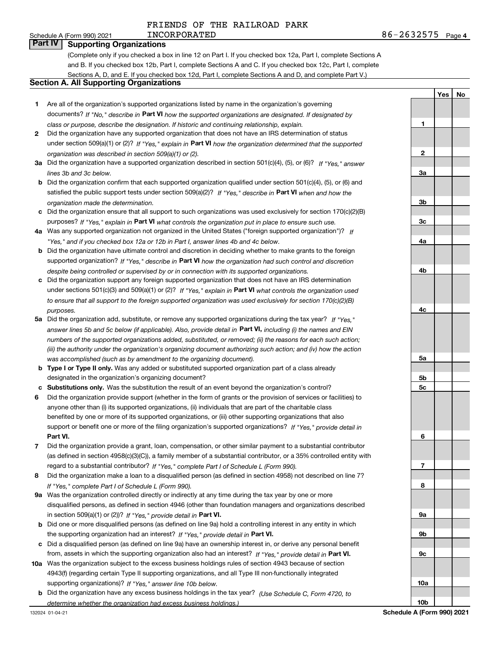**Yes**

**No**

## Schedule A (Form 990) 2021 **Part IV Supporting Organizations**

(Complete only if you checked a box in line 12 on Part I. If you checked box 12a, Part I, complete Sections A and B. If you checked box 12b, Part I, complete Sections A and C. If you checked box 12c, Part I, complete Sections A, D, and E. If you checked box 12d, Part I, complete Sections A and D, and complete Part V.)

# **Section A. All Supporting Organizations**

- **1** Are all of the organization's supported organizations listed by name in the organization's governing documents? If "No," describe in **Part VI** how the supported organizations are designated. If designated by *class or purpose, describe the designation. If historic and continuing relationship, explain.*
- **2** Did the organization have any supported organization that does not have an IRS determination of status under section 509(a)(1) or (2)? If "Yes," explain in Part VI how the organization determined that the supported *organization was described in section 509(a)(1) or (2).*
- **3a** Did the organization have a supported organization described in section 501(c)(4), (5), or (6)? If "Yes," answer *lines 3b and 3c below.*
- **b** Did the organization confirm that each supported organization qualified under section 501(c)(4), (5), or (6) and satisfied the public support tests under section 509(a)(2)? If "Yes," describe in **Part VI** when and how the *organization made the determination.*
- **c**Did the organization ensure that all support to such organizations was used exclusively for section 170(c)(2)(B) purposes? If "Yes," explain in **Part VI** what controls the organization put in place to ensure such use.
- **4a***If* Was any supported organization not organized in the United States ("foreign supported organization")? *"Yes," and if you checked box 12a or 12b in Part I, answer lines 4b and 4c below.*
- **b** Did the organization have ultimate control and discretion in deciding whether to make grants to the foreign supported organization? If "Yes," describe in **Part VI** how the organization had such control and discretion *despite being controlled or supervised by or in connection with its supported organizations.*
- **c** Did the organization support any foreign supported organization that does not have an IRS determination under sections 501(c)(3) and 509(a)(1) or (2)? If "Yes," explain in **Part VI** what controls the organization used *to ensure that all support to the foreign supported organization was used exclusively for section 170(c)(2)(B) purposes.*
- **5a***If "Yes,"* Did the organization add, substitute, or remove any supported organizations during the tax year? answer lines 5b and 5c below (if applicable). Also, provide detail in **Part VI,** including (i) the names and EIN *numbers of the supported organizations added, substituted, or removed; (ii) the reasons for each such action; (iii) the authority under the organization's organizing document authorizing such action; and (iv) how the action was accomplished (such as by amendment to the organizing document).*
- **b** Type I or Type II only. Was any added or substituted supported organization part of a class already designated in the organization's organizing document?
- **cSubstitutions only.**  Was the substitution the result of an event beyond the organization's control?
- **6** Did the organization provide support (whether in the form of grants or the provision of services or facilities) to **Part VI.** *If "Yes," provide detail in* support or benefit one or more of the filing organization's supported organizations? anyone other than (i) its supported organizations, (ii) individuals that are part of the charitable class benefited by one or more of its supported organizations, or (iii) other supporting organizations that also
- **7**Did the organization provide a grant, loan, compensation, or other similar payment to a substantial contributor *If "Yes," complete Part I of Schedule L (Form 990).* regard to a substantial contributor? (as defined in section 4958(c)(3)(C)), a family member of a substantial contributor, or a 35% controlled entity with
- **8** Did the organization make a loan to a disqualified person (as defined in section 4958) not described on line 7? *If "Yes," complete Part I of Schedule L (Form 990).*
- **9a** Was the organization controlled directly or indirectly at any time during the tax year by one or more in section 509(a)(1) or (2))? If "Yes," *provide detail in* <code>Part VI.</code> disqualified persons, as defined in section 4946 (other than foundation managers and organizations described
- **b** Did one or more disqualified persons (as defined on line 9a) hold a controlling interest in any entity in which the supporting organization had an interest? If "Yes," provide detail in P**art VI**.
- **c**Did a disqualified person (as defined on line 9a) have an ownership interest in, or derive any personal benefit from, assets in which the supporting organization also had an interest? If "Yes," provide detail in P**art VI.**
- **10a** Was the organization subject to the excess business holdings rules of section 4943 because of section supporting organizations)? If "Yes," answer line 10b below. 4943(f) (regarding certain Type II supporting organizations, and all Type III non-functionally integrated
- **b** Did the organization have any excess business holdings in the tax year? (Use Schedule C, Form 4720, to *determine whether the organization had excess business holdings.)*

**123a3b3c4a4b4c5a5b5c6789a 9b9c10a**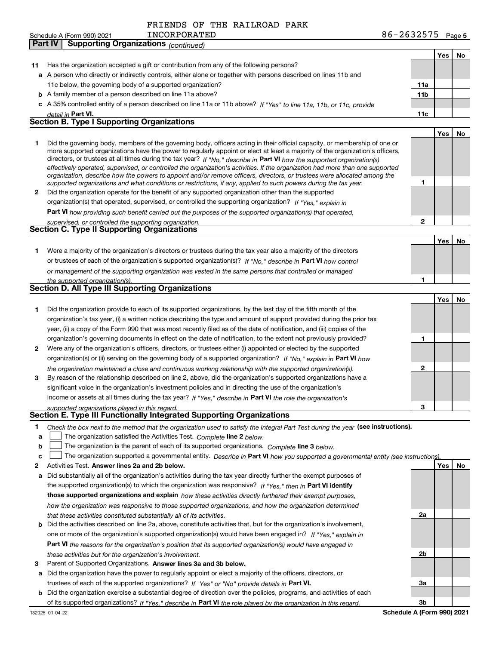# FRIENDS OF THE RAILROAD PARK

|    | INCORPORATED<br>Schedule A (Form 990) 2021                                                                                                                                                                                                                                                                                                                                                                                                                                                                                                                                                                                                           | $86 - 2632575$ Page 5 |     |    |
|----|------------------------------------------------------------------------------------------------------------------------------------------------------------------------------------------------------------------------------------------------------------------------------------------------------------------------------------------------------------------------------------------------------------------------------------------------------------------------------------------------------------------------------------------------------------------------------------------------------------------------------------------------------|-----------------------|-----|----|
|    | <b>Supporting Organizations (continued)</b><br>Part IV                                                                                                                                                                                                                                                                                                                                                                                                                                                                                                                                                                                               |                       |     |    |
|    |                                                                                                                                                                                                                                                                                                                                                                                                                                                                                                                                                                                                                                                      |                       | Yes | No |
| 11 | Has the organization accepted a gift or contribution from any of the following persons?                                                                                                                                                                                                                                                                                                                                                                                                                                                                                                                                                              |                       |     |    |
|    | a A person who directly or indirectly controls, either alone or together with persons described on lines 11b and                                                                                                                                                                                                                                                                                                                                                                                                                                                                                                                                     |                       |     |    |
|    | 11c below, the governing body of a supported organization?                                                                                                                                                                                                                                                                                                                                                                                                                                                                                                                                                                                           | 11a                   |     |    |
|    | <b>b</b> A family member of a person described on line 11a above?                                                                                                                                                                                                                                                                                                                                                                                                                                                                                                                                                                                    | 11b                   |     |    |
|    | c A 35% controlled entity of a person described on line 11a or 11b above? If "Yes" to line 11a, 11b, or 11c, provide                                                                                                                                                                                                                                                                                                                                                                                                                                                                                                                                 |                       |     |    |
|    | detail in Part VI.                                                                                                                                                                                                                                                                                                                                                                                                                                                                                                                                                                                                                                   | 11c                   |     |    |
|    | <b>Section B. Type I Supporting Organizations</b>                                                                                                                                                                                                                                                                                                                                                                                                                                                                                                                                                                                                    |                       |     |    |
|    |                                                                                                                                                                                                                                                                                                                                                                                                                                                                                                                                                                                                                                                      |                       | Yes | No |
| 1  | Did the governing body, members of the governing body, officers acting in their official capacity, or membership of one or<br>more supported organizations have the power to regularly appoint or elect at least a majority of the organization's officers,<br>directors, or trustees at all times during the tax year? If "No," describe in Part VI how the supported organization(s)<br>effectively operated, supervised, or controlled the organization's activities. If the organization had more than one supported<br>organization, describe how the powers to appoint and/or remove officers, directors, or trustees were allocated among the | 1                     |     |    |
|    | supported organizations and what conditions or restrictions, if any, applied to such powers during the tax year.                                                                                                                                                                                                                                                                                                                                                                                                                                                                                                                                     |                       |     |    |
|    | 2 Did the organization operate for the benefit of any supported organization other than the supported                                                                                                                                                                                                                                                                                                                                                                                                                                                                                                                                                |                       |     |    |
|    | organization(s) that operated, supervised, or controlled the supporting organization? If "Yes," explain in                                                                                                                                                                                                                                                                                                                                                                                                                                                                                                                                           |                       |     |    |
|    | Part VI how providing such benefit carried out the purposes of the supported organization(s) that operated,                                                                                                                                                                                                                                                                                                                                                                                                                                                                                                                                          | $\overline{2}$        |     |    |
|    | supervised, or controlled the supporting organization.<br>Section C. Type II Supporting Organizations                                                                                                                                                                                                                                                                                                                                                                                                                                                                                                                                                |                       |     |    |
|    |                                                                                                                                                                                                                                                                                                                                                                                                                                                                                                                                                                                                                                                      |                       |     |    |
|    |                                                                                                                                                                                                                                                                                                                                                                                                                                                                                                                                                                                                                                                      |                       | Yes | No |
| 1. | Were a majority of the organization's directors or trustees during the tax year also a majority of the directors                                                                                                                                                                                                                                                                                                                                                                                                                                                                                                                                     |                       |     |    |
|    | or trustees of each of the organization's supported organization(s)? If "No," describe in Part VI how control                                                                                                                                                                                                                                                                                                                                                                                                                                                                                                                                        |                       |     |    |
|    | or management of the supporting organization was vested in the same persons that controlled or managed                                                                                                                                                                                                                                                                                                                                                                                                                                                                                                                                               |                       |     |    |
|    | the supported organization(s).<br>Section D. All Type III Supporting Organizations                                                                                                                                                                                                                                                                                                                                                                                                                                                                                                                                                                   | 1                     |     |    |
|    |                                                                                                                                                                                                                                                                                                                                                                                                                                                                                                                                                                                                                                                      |                       |     |    |
|    |                                                                                                                                                                                                                                                                                                                                                                                                                                                                                                                                                                                                                                                      |                       | Yes | No |
| 1  | Did the organization provide to each of its supported organizations, by the last day of the fifth month of the                                                                                                                                                                                                                                                                                                                                                                                                                                                                                                                                       |                       |     |    |
|    | organization's tax year, (i) a written notice describing the type and amount of support provided during the prior tax                                                                                                                                                                                                                                                                                                                                                                                                                                                                                                                                |                       |     |    |
|    | year, (ii) a copy of the Form 990 that was most recently filed as of the date of notification, and (iii) copies of the                                                                                                                                                                                                                                                                                                                                                                                                                                                                                                                               |                       |     |    |
|    | organization's governing documents in effect on the date of notification, to the extent not previously provided?                                                                                                                                                                                                                                                                                                                                                                                                                                                                                                                                     | 1                     |     |    |
| 2  | Were any of the organization's officers, directors, or trustees either (i) appointed or elected by the supported                                                                                                                                                                                                                                                                                                                                                                                                                                                                                                                                     |                       |     |    |
|    | organization(s) or (ii) serving on the governing body of a supported organization? If "No," explain in Part VI how                                                                                                                                                                                                                                                                                                                                                                                                                                                                                                                                   |                       |     |    |
|    | the organization maintained a close and continuous working relationship with the supported organization(s).                                                                                                                                                                                                                                                                                                                                                                                                                                                                                                                                          | $\mathbf{2}$          |     |    |
| 3  | By reason of the relationship described on line 2, above, did the organization's supported organizations have a                                                                                                                                                                                                                                                                                                                                                                                                                                                                                                                                      |                       |     |    |
|    | significant voice in the organization's investment policies and in directing the use of the organization's                                                                                                                                                                                                                                                                                                                                                                                                                                                                                                                                           |                       |     |    |
|    | income or assets at all times during the tax year? If "Yes," describe in Part VI the role the organization's                                                                                                                                                                                                                                                                                                                                                                                                                                                                                                                                         |                       |     |    |
|    | supported organizations played in this regard.<br>Section E. Type III Functionally Integrated Supporting Organizations                                                                                                                                                                                                                                                                                                                                                                                                                                                                                                                               | 3                     |     |    |
|    |                                                                                                                                                                                                                                                                                                                                                                                                                                                                                                                                                                                                                                                      |                       |     |    |
| 1. | Check the box next to the method that the organization used to satisfy the Integral Part Test during the year (see instructions).                                                                                                                                                                                                                                                                                                                                                                                                                                                                                                                    |                       |     |    |
| a  | The organization satisfied the Activities Test. Complete line 2 below.                                                                                                                                                                                                                                                                                                                                                                                                                                                                                                                                                                               |                       |     |    |
| b  | The organization is the parent of each of its supported organizations. Complete line 3 below.                                                                                                                                                                                                                                                                                                                                                                                                                                                                                                                                                        |                       |     |    |

**c**  $\Box$  The organization supported a governmental entity. Describe in Part VI how you supported a governmental entity (see instructions).

**2Answer lines 2a and 2b below. Yes No** Activities Test.

- **a** Did substantially all of the organization's activities during the tax year directly further the exempt purposes of the supported organization(s) to which the organization was responsive? If "Yes," then in **Part VI identify those supported organizations and explain**  *how these activities directly furthered their exempt purposes, how the organization was responsive to those supported organizations, and how the organization determined that these activities constituted substantially all of its activities.*
- **b** Did the activities described on line 2a, above, constitute activities that, but for the organization's involvement, **Part VI**  *the reasons for the organization's position that its supported organization(s) would have engaged in* one or more of the organization's supported organization(s) would have been engaged in? If "Yes," e*xplain in these activities but for the organization's involvement.*
- **3** Parent of Supported Organizations. Answer lines 3a and 3b below.

**a** Did the organization have the power to regularly appoint or elect a majority of the officers, directors, or trustees of each of the supported organizations? If "Yes" or "No" provide details in **Part VI.** 

**b** Did the organization exercise a substantial degree of direction over the policies, programs, and activities of each of its supported organizations? If "Yes," describe in Part VI the role played by the organization in this regard.

**2a**

**2b**

**3a**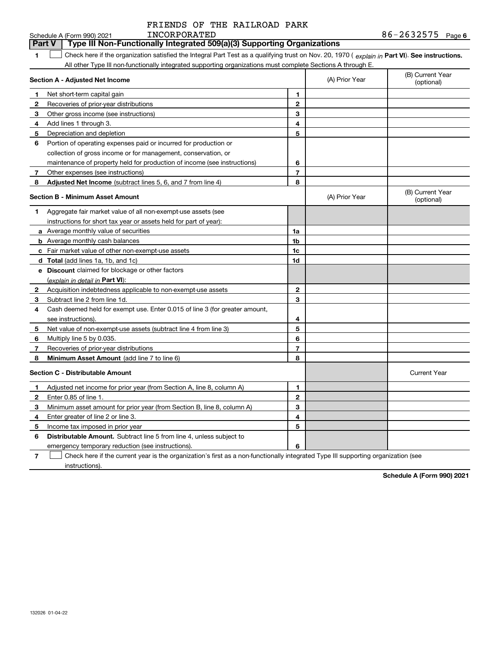|              |  |  | FRIENDS OF THE RAILROAD PARK |  |  |  |  |
|--------------|--|--|------------------------------|--|--|--|--|
| INCORPORATED |  |  |                              |  |  |  |  |

|              | Schedule A (Form 990) 2021<br>INCORPORATED                                                                                                     |                |                | 86-2632575<br>Page 6           |
|--------------|------------------------------------------------------------------------------------------------------------------------------------------------|----------------|----------------|--------------------------------|
|              | Type III Non-Functionally Integrated 509(a)(3) Supporting Organizations<br><b>Part V</b>                                                       |                |                |                                |
| 1            | Check here if the organization satisfied the Integral Part Test as a qualifying trust on Nov. 20, 1970 (explain in Part VI). See instructions. |                |                |                                |
|              | All other Type III non-functionally integrated supporting organizations must complete Sections A through E.                                    |                |                |                                |
|              | Section A - Adjusted Net Income                                                                                                                |                | (A) Prior Year | (B) Current Year<br>(optional) |
| 1            | Net short-term capital gain                                                                                                                    | 1              |                |                                |
| $\mathbf{2}$ | Recoveries of prior-year distributions                                                                                                         | $\overline{2}$ |                |                                |
| 3            | Other gross income (see instructions)                                                                                                          | 3              |                |                                |
| 4            | Add lines 1 through 3.                                                                                                                         | 4              |                |                                |
| 5            | Depreciation and depletion                                                                                                                     | 5              |                |                                |
| 6            | Portion of operating expenses paid or incurred for production or                                                                               |                |                |                                |
|              | collection of gross income or for management, conservation, or                                                                                 |                |                |                                |
|              | maintenance of property held for production of income (see instructions)                                                                       | 6              |                |                                |
| 7            | Other expenses (see instructions)                                                                                                              | $\overline{7}$ |                |                                |
| 8            | <b>Adjusted Net Income</b> (subtract lines 5, 6, and 7 from line 4)                                                                            | 8              |                |                                |
|              | <b>Section B - Minimum Asset Amount</b>                                                                                                        |                | (A) Prior Year | (B) Current Year<br>(optional) |
| 1            | Aggregate fair market value of all non-exempt-use assets (see                                                                                  |                |                |                                |
|              | instructions for short tax year or assets held for part of year):                                                                              |                |                |                                |
|              | a Average monthly value of securities                                                                                                          | 1a             |                |                                |
|              | <b>b</b> Average monthly cash balances                                                                                                         | 1b             |                |                                |
|              | c Fair market value of other non-exempt-use assets                                                                                             | 1c             |                |                                |
|              | d Total (add lines 1a, 1b, and 1c)                                                                                                             | 1d             |                |                                |
|              | e Discount claimed for blockage or other factors                                                                                               |                |                |                                |
|              | (explain in detail in <b>Part VI</b> ):                                                                                                        |                |                |                                |
| $\mathbf{2}$ | Acquisition indebtedness applicable to non-exempt-use assets                                                                                   | 2              |                |                                |
| 3            | Subtract line 2 from line 1d.                                                                                                                  | 3              |                |                                |
| 4            | Cash deemed held for exempt use. Enter 0.015 of line 3 (for greater amount,                                                                    |                |                |                                |
|              | see instructions).                                                                                                                             | 4              |                |                                |
| 5            | Net value of non-exempt-use assets (subtract line 4 from line 3)                                                                               | 5              |                |                                |
| 6            | Multiply line 5 by 0.035.                                                                                                                      | 6              |                |                                |
| 7            | Recoveries of prior-year distributions                                                                                                         | 7              |                |                                |
| 8            | Minimum Asset Amount (add line 7 to line 6)                                                                                                    | 8              |                |                                |
|              | <b>Section C - Distributable Amount</b>                                                                                                        |                |                | <b>Current Year</b>            |
| $\mathbf 1$  | Adjusted net income for prior year (from Section A, line 8, column A)                                                                          | 1              |                |                                |
| $\mathbf{2}$ | Enter 0.85 of line 1.                                                                                                                          | $\mathbf{2}$   |                |                                |
| 3            | Minimum asset amount for prior year (from Section B, line 8, column A)                                                                         | 3              |                |                                |
| 4            | Enter greater of line 2 or line 3.                                                                                                             | 4              |                |                                |
| 5            | Income tax imposed in prior year                                                                                                               | 5              |                |                                |
| 6            | <b>Distributable Amount.</b> Subtract line 5 from line 4, unless subject to                                                                    |                |                |                                |
|              | emergency temporary reduction (see instructions).                                                                                              | 6              |                |                                |

**7** Check here if the current year is the organization's first as a non-functionally integrated Type III supporting organization (see instructions).

**Schedule A (Form 990) 2021**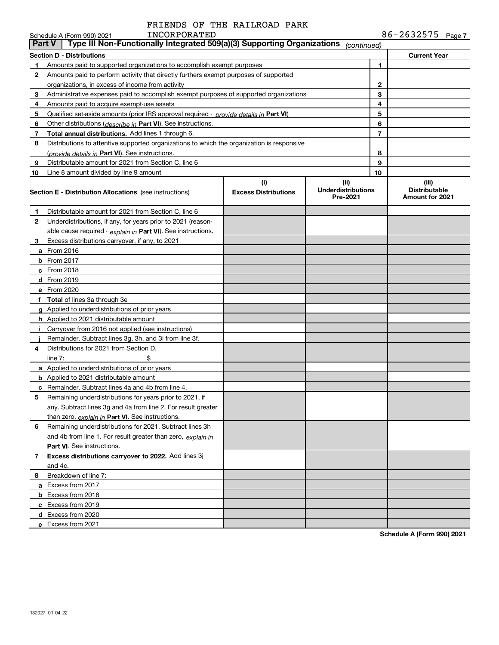# FRIENDS OF THE RAILROAD PARK

|    | INCORPORATED<br>Schedule A (Form 990) 2021                                                 |                                    |                                               |    | $86 - 2632575$ Page 7                                   |
|----|--------------------------------------------------------------------------------------------|------------------------------------|-----------------------------------------------|----|---------------------------------------------------------|
|    | Type III Non-Functionally Integrated 509(a)(3) Supporting Organizations<br><b>Part V</b>   |                                    | (continued)                                   |    |                                                         |
|    | <b>Section D - Distributions</b>                                                           |                                    |                                               |    | <b>Current Year</b>                                     |
| 1  | Amounts paid to supported organizations to accomplish exempt purposes                      |                                    |                                               | 1  |                                                         |
| 2  | Amounts paid to perform activity that directly furthers exempt purposes of supported       |                                    |                                               |    |                                                         |
|    | organizations, in excess of income from activity                                           |                                    |                                               | 2  |                                                         |
| 3  | Administrative expenses paid to accomplish exempt purposes of supported organizations      |                                    |                                               | 3  |                                                         |
| 4  | Amounts paid to acquire exempt-use assets                                                  |                                    |                                               | 4  |                                                         |
| 5  | Qualified set-aside amounts (prior IRS approval required - provide details in Part VI)     |                                    |                                               | 5  |                                                         |
| 6  | Other distributions (describe in Part VI). See instructions.                               |                                    |                                               | 6  |                                                         |
| 7  | Total annual distributions. Add lines 1 through 6.                                         |                                    |                                               | 7  |                                                         |
| 8  | Distributions to attentive supported organizations to which the organization is responsive |                                    |                                               |    |                                                         |
|    | (provide details in Part VI). See instructions.                                            |                                    |                                               | 8  |                                                         |
| 9  | Distributable amount for 2021 from Section C, line 6                                       |                                    |                                               | 9  |                                                         |
| 10 | Line 8 amount divided by line 9 amount                                                     |                                    |                                               | 10 |                                                         |
|    | <b>Section E - Distribution Allocations</b> (see instructions)                             | (i)<br><b>Excess Distributions</b> | (ii)<br><b>Underdistributions</b><br>Pre-2021 |    | (iii)<br><b>Distributable</b><br><b>Amount for 2021</b> |
| 1  | Distributable amount for 2021 from Section C, line 6                                       |                                    |                                               |    |                                                         |
| 2  | Underdistributions, if any, for years prior to 2021 (reason-                               |                                    |                                               |    |                                                         |
|    | able cause required - explain in Part VI). See instructions.                               |                                    |                                               |    |                                                         |
| 3  | Excess distributions carryover, if any, to 2021                                            |                                    |                                               |    |                                                         |
|    | a From 2016                                                                                |                                    |                                               |    |                                                         |
|    | <b>b</b> From 2017                                                                         |                                    |                                               |    |                                                         |
|    | c From 2018                                                                                |                                    |                                               |    |                                                         |
|    | d From 2019                                                                                |                                    |                                               |    |                                                         |
|    | e From 2020                                                                                |                                    |                                               |    |                                                         |
|    | f Total of lines 3a through 3e                                                             |                                    |                                               |    |                                                         |
|    | g Applied to underdistributions of prior years                                             |                                    |                                               |    |                                                         |
|    | <b>h</b> Applied to 2021 distributable amount                                              |                                    |                                               |    |                                                         |
| Ť. | Carryover from 2016 not applied (see instructions)                                         |                                    |                                               |    |                                                         |
|    | Remainder. Subtract lines 3g, 3h, and 3i from line 3f.                                     |                                    |                                               |    |                                                         |
| 4  | Distributions for 2021 from Section D,                                                     |                                    |                                               |    |                                                         |
|    | line $7:$                                                                                  |                                    |                                               |    |                                                         |
|    | a Applied to underdistributions of prior years                                             |                                    |                                               |    |                                                         |
|    | <b>b</b> Applied to 2021 distributable amount                                              |                                    |                                               |    |                                                         |
|    | <b>c</b> Remainder. Subtract lines 4a and 4b from line 4.                                  |                                    |                                               |    |                                                         |
|    | Remaining underdistributions for years prior to 2021, if                                   |                                    |                                               |    |                                                         |
|    | any. Subtract lines 3g and 4a from line 2. For result greater                              |                                    |                                               |    |                                                         |
|    | than zero, explain in Part VI. See instructions.                                           |                                    |                                               |    |                                                         |
| 6  | Remaining underdistributions for 2021. Subtract lines 3h                                   |                                    |                                               |    |                                                         |
|    | and 4b from line 1. For result greater than zero, explain in                               |                                    |                                               |    |                                                         |
|    | Part VI. See instructions.                                                                 |                                    |                                               |    |                                                         |
| 7  | Excess distributions carryover to 2022. Add lines 3j                                       |                                    |                                               |    |                                                         |
|    | and 4c.                                                                                    |                                    |                                               |    |                                                         |
| 8  | Breakdown of line 7:                                                                       |                                    |                                               |    |                                                         |
|    | a Excess from 2017                                                                         |                                    |                                               |    |                                                         |
|    | <b>b</b> Excess from 2018                                                                  |                                    |                                               |    |                                                         |
|    | c Excess from 2019                                                                         |                                    |                                               |    |                                                         |
|    | d Excess from 2020                                                                         |                                    |                                               |    |                                                         |
|    | e Excess from 2021                                                                         |                                    |                                               |    |                                                         |

**Schedule A (Form 990) 2021**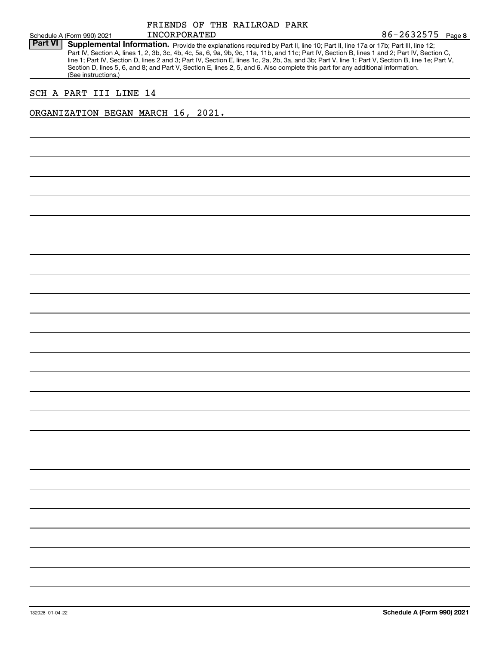| Schedule A (Form 990) 2021<br><b>Part VI</b><br>Supplemental Information. Provide the explanations required by Part II, line 10; Part II, line 17a or 17b; Part III, line 12;<br>Part IV, Section A, lines 1, 2, 3b, 3c, 4b, 4c, 5a, 6, 9a, 9b, 9c, 11a, 11b, and 11c; Part IV, Section B, lines 1 and 2; Part IV, Section C,<br>line 1; Part IV, Section D, lines 2 and 3; Part IV, Section E, lines 1c, 2a, 2b, 3a, and 3b; Part V, line 1; Part V, Section B, line 1e; Part V,<br>Section D, lines 5, 6, and 8; and Part V, Section E, lines 2, 5, and 6. Also complete this part for any additional information.<br>(See instructions.)<br>SCH A PART III LINE 14<br>ORGANIZATION BEGAN MARCH 16, 2021. |  | FRIENDS OF THE RAILROAD PARK |  |                   |
|-------------------------------------------------------------------------------------------------------------------------------------------------------------------------------------------------------------------------------------------------------------------------------------------------------------------------------------------------------------------------------------------------------------------------------------------------------------------------------------------------------------------------------------------------------------------------------------------------------------------------------------------------------------------------------------------------------------|--|------------------------------|--|-------------------|
|                                                                                                                                                                                                                                                                                                                                                                                                                                                                                                                                                                                                                                                                                                             |  | INCORPORATED                 |  | 86-2632575 Page 8 |
|                                                                                                                                                                                                                                                                                                                                                                                                                                                                                                                                                                                                                                                                                                             |  |                              |  |                   |
|                                                                                                                                                                                                                                                                                                                                                                                                                                                                                                                                                                                                                                                                                                             |  |                              |  |                   |
|                                                                                                                                                                                                                                                                                                                                                                                                                                                                                                                                                                                                                                                                                                             |  |                              |  |                   |
|                                                                                                                                                                                                                                                                                                                                                                                                                                                                                                                                                                                                                                                                                                             |  |                              |  |                   |
|                                                                                                                                                                                                                                                                                                                                                                                                                                                                                                                                                                                                                                                                                                             |  |                              |  |                   |
|                                                                                                                                                                                                                                                                                                                                                                                                                                                                                                                                                                                                                                                                                                             |  |                              |  |                   |
|                                                                                                                                                                                                                                                                                                                                                                                                                                                                                                                                                                                                                                                                                                             |  |                              |  |                   |
|                                                                                                                                                                                                                                                                                                                                                                                                                                                                                                                                                                                                                                                                                                             |  |                              |  |                   |
|                                                                                                                                                                                                                                                                                                                                                                                                                                                                                                                                                                                                                                                                                                             |  |                              |  |                   |
|                                                                                                                                                                                                                                                                                                                                                                                                                                                                                                                                                                                                                                                                                                             |  |                              |  |                   |
|                                                                                                                                                                                                                                                                                                                                                                                                                                                                                                                                                                                                                                                                                                             |  |                              |  |                   |
|                                                                                                                                                                                                                                                                                                                                                                                                                                                                                                                                                                                                                                                                                                             |  |                              |  |                   |
|                                                                                                                                                                                                                                                                                                                                                                                                                                                                                                                                                                                                                                                                                                             |  |                              |  |                   |
|                                                                                                                                                                                                                                                                                                                                                                                                                                                                                                                                                                                                                                                                                                             |  |                              |  |                   |
|                                                                                                                                                                                                                                                                                                                                                                                                                                                                                                                                                                                                                                                                                                             |  |                              |  |                   |
|                                                                                                                                                                                                                                                                                                                                                                                                                                                                                                                                                                                                                                                                                                             |  |                              |  |                   |
|                                                                                                                                                                                                                                                                                                                                                                                                                                                                                                                                                                                                                                                                                                             |  |                              |  |                   |
|                                                                                                                                                                                                                                                                                                                                                                                                                                                                                                                                                                                                                                                                                                             |  |                              |  |                   |
|                                                                                                                                                                                                                                                                                                                                                                                                                                                                                                                                                                                                                                                                                                             |  |                              |  |                   |
|                                                                                                                                                                                                                                                                                                                                                                                                                                                                                                                                                                                                                                                                                                             |  |                              |  |                   |
|                                                                                                                                                                                                                                                                                                                                                                                                                                                                                                                                                                                                                                                                                                             |  |                              |  |                   |
|                                                                                                                                                                                                                                                                                                                                                                                                                                                                                                                                                                                                                                                                                                             |  |                              |  |                   |
|                                                                                                                                                                                                                                                                                                                                                                                                                                                                                                                                                                                                                                                                                                             |  |                              |  |                   |
|                                                                                                                                                                                                                                                                                                                                                                                                                                                                                                                                                                                                                                                                                                             |  |                              |  |                   |
|                                                                                                                                                                                                                                                                                                                                                                                                                                                                                                                                                                                                                                                                                                             |  |                              |  |                   |
|                                                                                                                                                                                                                                                                                                                                                                                                                                                                                                                                                                                                                                                                                                             |  |                              |  |                   |
|                                                                                                                                                                                                                                                                                                                                                                                                                                                                                                                                                                                                                                                                                                             |  |                              |  |                   |
|                                                                                                                                                                                                                                                                                                                                                                                                                                                                                                                                                                                                                                                                                                             |  |                              |  |                   |
|                                                                                                                                                                                                                                                                                                                                                                                                                                                                                                                                                                                                                                                                                                             |  |                              |  |                   |
|                                                                                                                                                                                                                                                                                                                                                                                                                                                                                                                                                                                                                                                                                                             |  |                              |  |                   |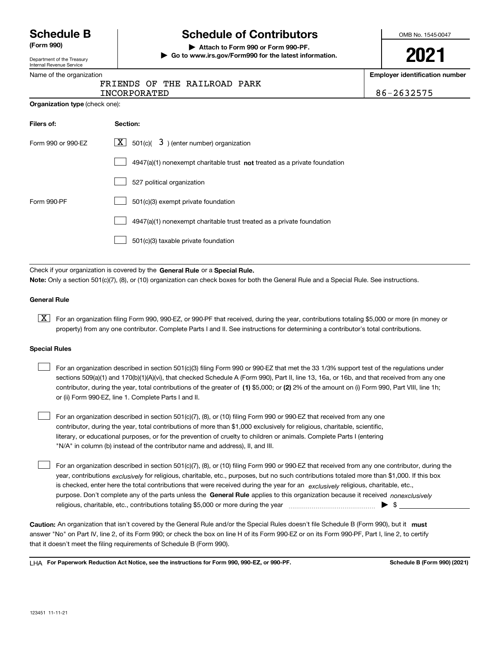Department of the Treasury Internal Revenue Service

# **Schedule B Schedule of Contributors**

**(Form 990) | Attach to Form 990 or Form 990-PF. | Go to www.irs.gov/Form990 for the latest information.** OMB No. 1545-0047

**2021**

**Employer identification number**

|  |  | Name of the organization |  |
|--|--|--------------------------|--|
|  |  |                          |  |

|  |  |  | FRIENDS OF THE RAILROAD PARK |  |  |
|--|--|--|------------------------------|--|--|
|--|--|--|------------------------------|--|--|

| <b>INCORPORATED</b> | 2632575 |
|---------------------|---------|
|                     |         |

|  | <b>Organization type</b> (check one): |  |  |
|--|---------------------------------------|--|--|
|  |                                       |  |  |

| Filers of:         | Section:                                                                    |
|--------------------|-----------------------------------------------------------------------------|
| Form 990 or 990-EZ | $\underline{X}$ 501(c)( 3) (enter number) organization                      |
|                    | $4947(a)(1)$ nonexempt charitable trust not treated as a private foundation |
|                    | 527 political organization                                                  |
| Form 990-PF        | 501(c)(3) exempt private foundation                                         |
|                    | 4947(a)(1) nonexempt charitable trust treated as a private foundation       |
|                    | 501(c)(3) taxable private foundation                                        |

Check if your organization is covered by the **General Rule** or a **Special Rule. Note:**  Only a section 501(c)(7), (8), or (10) organization can check boxes for both the General Rule and a Special Rule. See instructions.

# **General Rule**

 $\boxed{\textbf{X}}$  For an organization filing Form 990, 990-EZ, or 990-PF that received, during the year, contributions totaling \$5,000 or more (in money or property) from any one contributor. Complete Parts I and II. See instructions for determining a contributor's total contributions.

## **Special Rules**

 $\mathcal{L}^{\text{max}}$ 

| $\mathbf{1}$ | For an organization described in section 501(c)(3) filing Form 990 or 990-EZ that met the 33 1/3% support test of the regulations under       |
|--------------|-----------------------------------------------------------------------------------------------------------------------------------------------|
|              | sections 509(a)(1) and 170(b)(1)(A)(vi), that checked Schedule A (Form 990), Part II, line 13, 16a, or 16b, and that received from any one    |
|              | contributor, during the year, total contributions of the greater of (1) \$5,000; or (2) 2% of the amount on (i) Form 990, Part VIII, line 1h; |
|              | or (ii) Form 990-EZ, line 1. Complete Parts I and II.                                                                                         |

For an organization described in section 501(c)(7), (8), or (10) filing Form 990 or 990-EZ that received from any one contributor, during the year, total contributions of more than \$1,000 exclusively for religious, charitable, scientific, literary, or educational purposes, or for the prevention of cruelty to children or animals. Complete Parts I (entering "N/A" in column (b) instead of the contributor name and address), II, and III.  $\mathcal{L}^{\text{max}}$ 

purpose. Don't complete any of the parts unless the **General Rule** applies to this organization because it received *nonexclusively* year, contributions <sub>exclusively</sub> for religious, charitable, etc., purposes, but no such contributions totaled more than \$1,000. If this box is checked, enter here the total contributions that were received during the year for an  $\;$ exclusively religious, charitable, etc., For an organization described in section 501(c)(7), (8), or (10) filing Form 990 or 990-EZ that received from any one contributor, during the religious, charitable, etc., contributions totaling \$5,000 or more during the year  $\Box$ — $\Box$  =  $\Box$ 

Caution: An organization that isn't covered by the General Rule and/or the Special Rules doesn't file Schedule B (Form 990), but it **must** answer "No" on Part IV, line 2, of its Form 990; or check the box on line H of its Form 990-EZ or on its Form 990-PF, Part I, line 2, to certify that it doesn't meet the filing requirements of Schedule B (Form 990).

LHA For Paperwork Reduction Act Notice, see the instructions for Form 990, 990-EZ, or 990-PF. **In the act and Schedule B** (Form 990) (2021)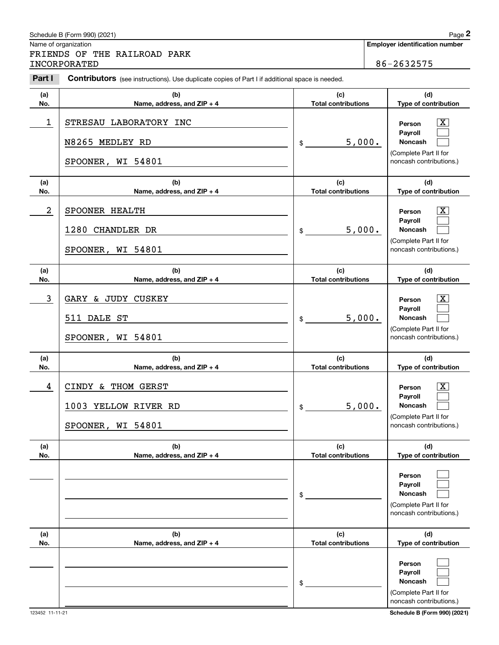|                | Schedule B (Form 990) (2021)                                                                   |                                   | Page 2                                                                           |
|----------------|------------------------------------------------------------------------------------------------|-----------------------------------|----------------------------------------------------------------------------------|
|                | Name of organization<br>FRIENDS OF THE RAILROAD PARK                                           |                                   | <b>Employer identification number</b>                                            |
|                | INCORPORATED                                                                                   |                                   | 86-2632575                                                                       |
| Part I         | Contributors (see instructions). Use duplicate copies of Part I if additional space is needed. |                                   |                                                                                  |
| (a)<br>No.     | (b)<br>Name, address, and ZIP + 4                                                              | (c)<br><b>Total contributions</b> | (d)<br>Type of contribution                                                      |
| 1              | STRESAU LABORATORY INC                                                                         |                                   | x<br>Person<br>Payroll                                                           |
|                | N8265 MEDLEY RD                                                                                | 5,000.<br>\$                      | Noncash                                                                          |
|                | SPOONER, WI 54801                                                                              |                                   | (Complete Part II for<br>noncash contributions.)                                 |
| (a)<br>No.     | (b)<br>Name, address, and ZIP + 4                                                              | (c)<br><b>Total contributions</b> | (d)<br>Type of contribution                                                      |
| $\overline{a}$ | SPOONER HEALTH                                                                                 |                                   | x<br>Person<br>Payroll                                                           |
|                | 1280 CHANDLER DR                                                                               | 5,000.<br>\$                      | Noncash                                                                          |
|                | SPOONER, WI 54801                                                                              |                                   | (Complete Part II for<br>noncash contributions.)                                 |
| (a)<br>No.     | (b)<br>Name, address, and ZIP + 4                                                              | (c)<br><b>Total contributions</b> | (d)<br>Type of contribution                                                      |
| 3              | GARY & JUDY CUSKEY                                                                             |                                   | X.<br>Person<br>Payroll                                                          |
|                | 511 DALE ST                                                                                    | 5,000.<br>\$                      | Noncash                                                                          |
|                | SPOONER, WI 54801                                                                              |                                   | (Complete Part II for<br>noncash contributions.)                                 |
| (a)<br>No.     | (b)<br>Name, address, and ZIP + 4                                                              | (c)<br><b>Total contributions</b> | (d)<br>Type of contribution                                                      |
| 4              | CINDY & THOM GERST                                                                             |                                   | Х,<br>Person                                                                     |
|                | 1003 YELLOW RIVER RD                                                                           | 5,000.<br>\$                      | Payroll<br>Noncash                                                               |
|                | SPOONER, WI 54801                                                                              |                                   | (Complete Part II for<br>noncash contributions.)                                 |
| (a)<br>No.     | (b)<br>Name, address, and ZIP + 4                                                              | (c)<br><b>Total contributions</b> | (d)<br>Type of contribution                                                      |
|                |                                                                                                | \$                                | Person<br>Payroll<br>Noncash<br>(Complete Part II for<br>noncash contributions.) |
| (a)<br>No.     | (b)<br>Name, address, and ZIP + 4                                                              | (c)<br><b>Total contributions</b> | (d)<br>Type of contribution                                                      |
|                |                                                                                                | \$                                | Person<br>Payroll<br>Noncash<br>(Complete Part II for<br>noncash contributions.) |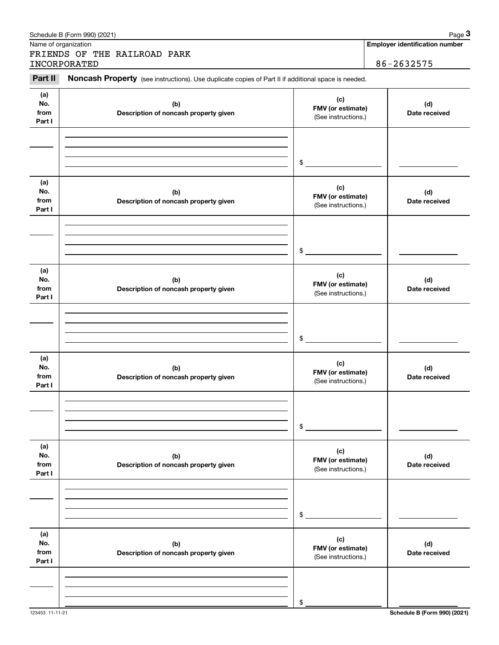|                              | Schedule B (Form 990) (2021)                                                                        |                                                 | Page 3                                |
|------------------------------|-----------------------------------------------------------------------------------------------------|-------------------------------------------------|---------------------------------------|
|                              | Name of organization<br>FRIENDS OF THE RAILROAD PARK                                                |                                                 | <b>Employer identification number</b> |
|                              | INCORPORATED                                                                                        |                                                 | 86-2632575                            |
| Part II                      | Noncash Property (see instructions). Use duplicate copies of Part II if additional space is needed. |                                                 |                                       |
| (a)<br>No.<br>from<br>Part I | (b)<br>Description of noncash property given                                                        | (c)<br>FMV (or estimate)<br>(See instructions.) | (d)<br>Date received                  |
|                              |                                                                                                     | $\frac{1}{2}$                                   |                                       |
| (a)<br>No.<br>from<br>Part I | (b)<br>Description of noncash property given                                                        | (c)<br>FMV (or estimate)<br>(See instructions.) | (d)<br>Date received                  |
|                              |                                                                                                     | \$                                              |                                       |
| (a)<br>No.<br>from<br>Part I | (b)<br>Description of noncash property given                                                        | (c)<br>FMV (or estimate)<br>(See instructions.) | (d)<br>Date received                  |
|                              |                                                                                                     | \$                                              |                                       |
| (a)<br>No.<br>from<br>Part I | (b)<br>Description of noncash property given                                                        | (c)<br>FMV (or estimate)<br>(See instructions.) | (d)<br>Date received                  |
|                              |                                                                                                     | \$                                              |                                       |
| (a)<br>No.<br>from<br>Part I | (b)<br>Description of noncash property given                                                        | (c)<br>FMV (or estimate)<br>(See instructions.) | (d)<br>Date received                  |
|                              |                                                                                                     | \$                                              |                                       |
| (a)<br>No.<br>from<br>Part I | (b)<br>Description of noncash property given                                                        | (c)<br>FMV (or estimate)<br>(See instructions.) | (d)<br>Date received                  |
|                              |                                                                                                     | \$                                              |                                       |

123453 11-11-21 **Schedule B (Form 990) (2021)**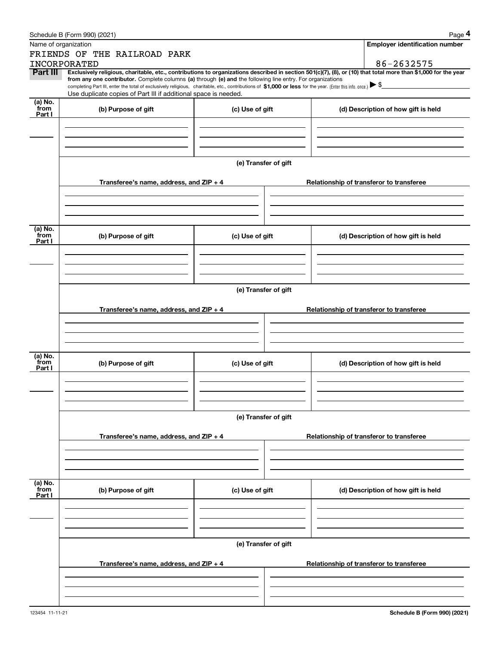|                 | Schedule B (Form 990) (2021)                                                                                                                                 |                      |                                          | Page 4                                                                                                                                                         |  |  |  |
|-----------------|--------------------------------------------------------------------------------------------------------------------------------------------------------------|----------------------|------------------------------------------|----------------------------------------------------------------------------------------------------------------------------------------------------------------|--|--|--|
|                 | Name of organization                                                                                                                                         |                      |                                          | Employer identification number                                                                                                                                 |  |  |  |
|                 | FRIENDS OF THE RAILROAD PARK                                                                                                                                 |                      |                                          |                                                                                                                                                                |  |  |  |
|                 | INCORPORATED                                                                                                                                                 |                      |                                          | 86-2632575                                                                                                                                                     |  |  |  |
| Part III        | from any one contributor. Complete columns (a) through (e) and the following line entry. For organizations                                                   |                      |                                          | Exclusively religious, charitable, etc., contributions to organizations described in section 501(c)(7), (8), or (10) that total more than \$1,000 for the year |  |  |  |
|                 | completing Part III, enter the total of exclusively religious, charitable, etc., contributions of \$1,000 or less for the year. (Enter this info. once.) \\$ |                      |                                          |                                                                                                                                                                |  |  |  |
| (a) No.         | Use duplicate copies of Part III if additional space is needed.                                                                                              |                      |                                          |                                                                                                                                                                |  |  |  |
| from<br>Part I  | (b) Purpose of gift<br>(c) Use of gift                                                                                                                       |                      |                                          | (d) Description of how gift is held                                                                                                                            |  |  |  |
|                 |                                                                                                                                                              |                      |                                          |                                                                                                                                                                |  |  |  |
|                 |                                                                                                                                                              |                      |                                          |                                                                                                                                                                |  |  |  |
|                 |                                                                                                                                                              |                      |                                          |                                                                                                                                                                |  |  |  |
|                 |                                                                                                                                                              |                      |                                          |                                                                                                                                                                |  |  |  |
|                 |                                                                                                                                                              | (e) Transfer of gift |                                          |                                                                                                                                                                |  |  |  |
|                 |                                                                                                                                                              |                      |                                          |                                                                                                                                                                |  |  |  |
|                 | Transferee's name, address, and ZIP + 4                                                                                                                      |                      |                                          | Relationship of transferor to transferee                                                                                                                       |  |  |  |
|                 |                                                                                                                                                              |                      |                                          |                                                                                                                                                                |  |  |  |
|                 |                                                                                                                                                              |                      |                                          |                                                                                                                                                                |  |  |  |
|                 |                                                                                                                                                              |                      |                                          |                                                                                                                                                                |  |  |  |
| (a) No.<br>from | (b) Purpose of gift                                                                                                                                          | (c) Use of gift      |                                          | (d) Description of how gift is held                                                                                                                            |  |  |  |
| Part I          |                                                                                                                                                              |                      |                                          |                                                                                                                                                                |  |  |  |
|                 |                                                                                                                                                              |                      |                                          |                                                                                                                                                                |  |  |  |
|                 |                                                                                                                                                              |                      |                                          |                                                                                                                                                                |  |  |  |
|                 |                                                                                                                                                              |                      |                                          |                                                                                                                                                                |  |  |  |
|                 | (e) Transfer of gift                                                                                                                                         |                      |                                          |                                                                                                                                                                |  |  |  |
|                 |                                                                                                                                                              |                      |                                          |                                                                                                                                                                |  |  |  |
|                 | Transferee's name, address, and ZIP + 4                                                                                                                      |                      | Relationship of transferor to transferee |                                                                                                                                                                |  |  |  |
|                 |                                                                                                                                                              |                      |                                          |                                                                                                                                                                |  |  |  |
|                 |                                                                                                                                                              |                      |                                          |                                                                                                                                                                |  |  |  |
|                 |                                                                                                                                                              |                      |                                          |                                                                                                                                                                |  |  |  |
| (a) No.<br>from | (b) Purpose of gift                                                                                                                                          | (c) Use of gift      |                                          | (d) Description of how gift is held                                                                                                                            |  |  |  |
| Part I          |                                                                                                                                                              |                      |                                          |                                                                                                                                                                |  |  |  |
|                 |                                                                                                                                                              |                      |                                          |                                                                                                                                                                |  |  |  |
|                 |                                                                                                                                                              |                      |                                          |                                                                                                                                                                |  |  |  |
|                 |                                                                                                                                                              |                      |                                          |                                                                                                                                                                |  |  |  |
|                 |                                                                                                                                                              | (e) Transfer of gift |                                          |                                                                                                                                                                |  |  |  |
|                 |                                                                                                                                                              |                      |                                          |                                                                                                                                                                |  |  |  |
|                 | Transferee's name, address, and ZIP + 4                                                                                                                      |                      |                                          | Relationship of transferor to transferee                                                                                                                       |  |  |  |
|                 |                                                                                                                                                              |                      |                                          |                                                                                                                                                                |  |  |  |
|                 |                                                                                                                                                              |                      |                                          |                                                                                                                                                                |  |  |  |
|                 |                                                                                                                                                              |                      |                                          |                                                                                                                                                                |  |  |  |
| (a) No.<br>from |                                                                                                                                                              |                      |                                          |                                                                                                                                                                |  |  |  |
| Part I          | (b) Purpose of gift                                                                                                                                          | (c) Use of gift      |                                          | (d) Description of how gift is held                                                                                                                            |  |  |  |
|                 |                                                                                                                                                              |                      |                                          |                                                                                                                                                                |  |  |  |
|                 |                                                                                                                                                              |                      |                                          |                                                                                                                                                                |  |  |  |
|                 |                                                                                                                                                              |                      |                                          |                                                                                                                                                                |  |  |  |
|                 |                                                                                                                                                              | (e) Transfer of gift |                                          |                                                                                                                                                                |  |  |  |
|                 |                                                                                                                                                              |                      |                                          |                                                                                                                                                                |  |  |  |
|                 | Transferee's name, address, and $ZIP + 4$                                                                                                                    |                      |                                          | Relationship of transferor to transferee                                                                                                                       |  |  |  |
|                 |                                                                                                                                                              |                      |                                          |                                                                                                                                                                |  |  |  |
|                 |                                                                                                                                                              |                      |                                          |                                                                                                                                                                |  |  |  |
|                 |                                                                                                                                                              |                      |                                          |                                                                                                                                                                |  |  |  |
|                 |                                                                                                                                                              |                      |                                          |                                                                                                                                                                |  |  |  |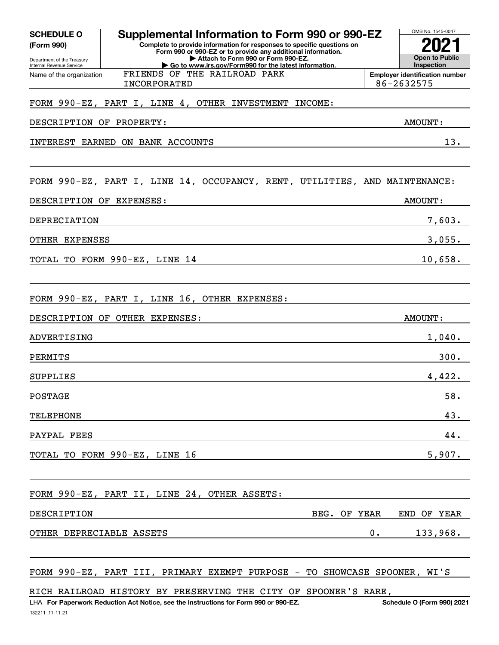| <b>SCHEDULE O</b>                                      | Supplemental Information to Form 990 or 990-EZ                                                                                         |    | OMB No. 1545-0047                                   |
|--------------------------------------------------------|----------------------------------------------------------------------------------------------------------------------------------------|----|-----------------------------------------------------|
| (Form 990)                                             | Complete to provide information for responses to specific questions on<br>Form 990 or 990-EZ or to provide any additional information. |    |                                                     |
| Department of the Treasury<br>Internal Revenue Service | Attach to Form 990 or Form 990-EZ.<br>Go to www.irs.gov/Form990 for the latest information.                                            |    | <b>Open to Public</b><br>Inspection                 |
| Name of the organization                               | FRIENDS OF THE RAILROAD PARK<br>INCORPORATED                                                                                           |    | <b>Employer identification number</b><br>86-2632575 |
|                                                        |                                                                                                                                        |    |                                                     |
|                                                        | FORM 990-EZ, PART I, LINE 4, OTHER INVESTMENT INCOME:                                                                                  |    |                                                     |
| DESCRIPTION OF PROPERTY:                               |                                                                                                                                        |    | AMOUNT:                                             |
|                                                        | INTEREST EARNED ON BANK ACCOUNTS                                                                                                       |    | 13.                                                 |
|                                                        |                                                                                                                                        |    |                                                     |
|                                                        | FORM 990-EZ, PART I, LINE 14, OCCUPANCY, RENT, UTILITIES, AND MAINTENANCE:                                                             |    |                                                     |
| DESCRIPTION OF EXPENSES:                               |                                                                                                                                        |    | AMOUNT:                                             |
| DEPRECIATION                                           |                                                                                                                                        |    | 7,603.                                              |
| OTHER EXPENSES                                         |                                                                                                                                        |    | 3,055.                                              |
|                                                        | TOTAL TO FORM 990-EZ, LINE 14                                                                                                          |    | 10,658.                                             |
|                                                        |                                                                                                                                        |    |                                                     |
|                                                        | FORM 990-EZ, PART I, LINE 16, OTHER EXPENSES:                                                                                          |    |                                                     |
|                                                        | DESCRIPTION OF OTHER EXPENSES:                                                                                                         |    | AMOUNT:                                             |
| ADVERTISING                                            |                                                                                                                                        |    | 1,040.                                              |
| PERMITS                                                |                                                                                                                                        |    | 300.                                                |
| <b>SUPPLIES</b>                                        |                                                                                                                                        |    | 4,422.                                              |
| <b>POSTAGE</b>                                         |                                                                                                                                        |    | 58.                                                 |
| <b>TELEPHONE</b>                                       |                                                                                                                                        |    | 43.                                                 |
| PAYPAL FEES                                            |                                                                                                                                        |    | 44.                                                 |
|                                                        | TOTAL TO FORM 990-EZ, LINE 16                                                                                                          |    | 5,907.                                              |
|                                                        |                                                                                                                                        |    |                                                     |
|                                                        | FORM 990-EZ, PART II, LINE 24, OTHER ASSETS:                                                                                           |    |                                                     |
| DESCRIPTION                                            | BEG. OF YEAR                                                                                                                           |    | END OF YEAR                                         |
| OTHER DEPRECIABLE ASSETS                               |                                                                                                                                        | 0. | 133,968.                                            |
|                                                        |                                                                                                                                        |    |                                                     |
|                                                        | FORM 990-EZ, PART III, PRIMARY EXEMPT PURPOSE - TO SHOWCASE SPOONER, WI'S                                                              |    |                                                     |
|                                                        | RICH RAILROAD HISTORY BY PRESERVING THE CITY OF SPOONER'S RARE,                                                                        |    |                                                     |

132211 11-11-21 LHA For Paperwork Reduction Act Notice, see the Instructions for Form 990 or 990-EZ. Schedule O (Form 990) 2021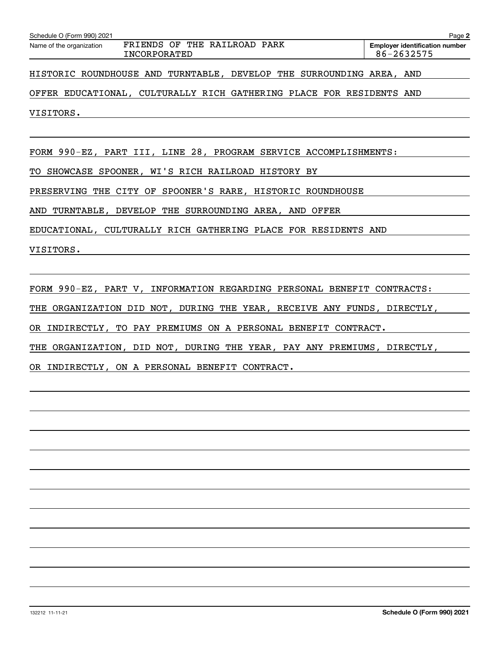| Schedule O (Form 990) 2021                                                      | Page 2                                              |
|---------------------------------------------------------------------------------|-----------------------------------------------------|
| FRIENDS OF THE RAILROAD PARK<br>Name of the organization<br><b>INCORPORATED</b> | <b>Employer identification number</b><br>86-2632575 |
| HISTORIC ROUNDHOUSE AND TURNTABLE, DEVELOP THE SURROUNDING AREA, AND            |                                                     |
| OFFER EDUCATIONAL, CULTURALLY RICH GATHERING PLACE FOR RESIDENTS AND            |                                                     |
| VISITORS.                                                                       |                                                     |
|                                                                                 |                                                     |
| FORM 990-EZ, PART III, LINE 28, PROGRAM SERVICE ACCOMPLISHMENTS:                |                                                     |
| TO SHOWCASE SPOONER, WI'S RICH RAILROAD HISTORY BY                              |                                                     |
| PRESERVING THE CITY OF SPOONER'S RARE, HISTORIC ROUNDHOUSE                      |                                                     |
| AND TURNTABLE, DEVELOP THE SURROUNDING AREA, AND OFFER                          |                                                     |
| EDUCATIONAL, CULTURALLY RICH GATHERING PLACE FOR RESIDENTS AND                  |                                                     |
| VISITORS.                                                                       |                                                     |
|                                                                                 |                                                     |
| FORM 990-EZ, PART V, INFORMATION REGARDING PERSONAL BENEFIT CONTRACTS:          |                                                     |
| THE ORGANIZATION DID NOT, DURING THE YEAR, RECEIVE ANY FUNDS, DIRECTLY,         |                                                     |
| OR INDIRECTLY, TO PAY PREMIUMS ON A PERSONAL BENEFIT CONTRACT.                  |                                                     |
| THE ORGANIZATION, DID NOT, DURING THE YEAR, PAY ANY PREMIUMS, DIRECTLY,         |                                                     |
| OR INDIRECTLY, ON A PERSONAL BENEFIT CONTRACT.                                  |                                                     |
|                                                                                 |                                                     |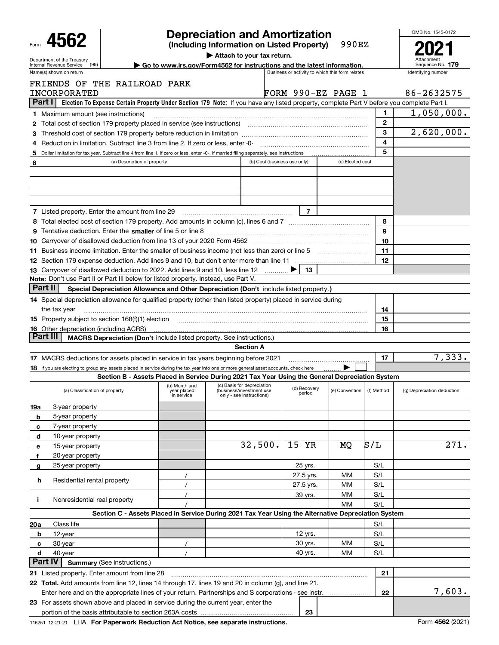|                                                                                                                                                                                                           |                                    |                           |                                                                                                                                           |  |                                                 |                  |              | OMB No. 1545-0172          |  |  |
|-----------------------------------------------------------------------------------------------------------------------------------------------------------------------------------------------------------|------------------------------------|---------------------------|-------------------------------------------------------------------------------------------------------------------------------------------|--|-------------------------------------------------|------------------|--------------|----------------------------|--|--|
| <b>Depreciation and Amortization</b><br>4562<br>990EZ<br>(Including Information on Listed Property)                                                                                                       |                                    |                           |                                                                                                                                           |  |                                                 |                  |              |                            |  |  |
| Department of the Treasury                                                                                                                                                                                |                                    |                           | Attach to your tax return.                                                                                                                |  |                                                 |                  |              |                            |  |  |
| (99)<br>Internal Revenue Service                                                                                                                                                                          |                                    |                           | Go to www.irs.gov/Form4562 for instructions and the latest information.                                                                   |  | Business or activity to which this form relates |                  |              | Sequence No. 179           |  |  |
| Name(s) shown on return                                                                                                                                                                                   |                                    |                           |                                                                                                                                           |  |                                                 |                  |              | Identifying number         |  |  |
| FRIENDS OF<br>INCORPORATED                                                                                                                                                                                | THE RAILROAD PARK                  |                           |                                                                                                                                           |  | FORM 990-EZ PAGE 1                              |                  |              | 86-2632575                 |  |  |
| Part I I                                                                                                                                                                                                  |                                    |                           | Election To Expense Certain Property Under Section 179 Note: If you have any listed property, complete Part V before you complete Part I. |  |                                                 |                  |              |                            |  |  |
|                                                                                                                                                                                                           |                                    |                           |                                                                                                                                           |  |                                                 |                  | 1            | 1,050,000.                 |  |  |
| <b>1</b> Maximum amount (see instructions)<br>Total cost of section 179 property placed in service (see instructions) manufactured cost of section 179 property placed in service (see instructions)<br>2 |                                    |                           |                                                                                                                                           |  |                                                 |                  | $\mathbf{2}$ |                            |  |  |
| З                                                                                                                                                                                                         |                                    |                           |                                                                                                                                           |  |                                                 |                  | 3            | 2,620,000.                 |  |  |
| Reduction in limitation. Subtract line 3 from line 2. If zero or less, enter -0-<br>4                                                                                                                     |                                    |                           |                                                                                                                                           |  |                                                 |                  | 4            |                            |  |  |
| Dollar limitation for tax year. Subtract line 4 from line 1. If zero or less, enter -0-. If married filing separately, see instructions<br>5                                                              |                                    |                           |                                                                                                                                           |  |                                                 |                  | 5            |                            |  |  |
| 6                                                                                                                                                                                                         | (a) Description of property        |                           |                                                                                                                                           |  | (b) Cost (business use only)                    | (c) Elected cost |              |                            |  |  |
|                                                                                                                                                                                                           |                                    |                           |                                                                                                                                           |  |                                                 |                  |              |                            |  |  |
|                                                                                                                                                                                                           |                                    |                           |                                                                                                                                           |  |                                                 |                  |              |                            |  |  |
|                                                                                                                                                                                                           |                                    |                           |                                                                                                                                           |  |                                                 |                  |              |                            |  |  |
|                                                                                                                                                                                                           |                                    |                           |                                                                                                                                           |  |                                                 |                  |              |                            |  |  |
| <b>7</b> Listed property. Enter the amount from line 29                                                                                                                                                   |                                    |                           |                                                                                                                                           |  | 7                                               |                  |              |                            |  |  |
| 8 Total elected cost of section 179 property. Add amounts in column (c), lines 6 and 7                                                                                                                    |                                    |                           |                                                                                                                                           |  |                                                 |                  | 8            |                            |  |  |
| 9.                                                                                                                                                                                                        |                                    |                           |                                                                                                                                           |  |                                                 |                  | 9            |                            |  |  |
|                                                                                                                                                                                                           |                                    |                           |                                                                                                                                           |  |                                                 |                  | 10           |                            |  |  |
| 11 Business income limitation. Enter the smaller of business income (not less than zero) or line 5                                                                                                        |                                    |                           |                                                                                                                                           |  |                                                 |                  | 11           |                            |  |  |
|                                                                                                                                                                                                           |                                    |                           |                                                                                                                                           |  |                                                 |                  | 12           |                            |  |  |
| 13 Carryover of disallowed deduction to 2022. Add lines 9 and 10, less line 12                                                                                                                            |                                    |                           |                                                                                                                                           |  | 13                                              |                  |              |                            |  |  |
| <b>Note:</b> Don't use Part II or Part III below for listed property. Instead, use Part V.                                                                                                                |                                    |                           |                                                                                                                                           |  |                                                 |                  |              |                            |  |  |
| Part II                                                                                                                                                                                                   |                                    |                           | Special Depreciation Allowance and Other Depreciation (Don't include listed property.)                                                    |  |                                                 |                  |              |                            |  |  |
| 14 Special depreciation allowance for qualified property (other than listed property) placed in service during                                                                                            |                                    |                           |                                                                                                                                           |  |                                                 |                  |              |                            |  |  |
| the tax year                                                                                                                                                                                              |                                    |                           |                                                                                                                                           |  |                                                 |                  | 14           |                            |  |  |
| 15 Property subject to section 168(f)(1) election material content content and property subject to section 168(f)(1) election                                                                             |                                    |                           |                                                                                                                                           |  |                                                 |                  | 15           |                            |  |  |
| <b>16</b> Other depreciation (including ACRS)                                                                                                                                                             |                                    |                           |                                                                                                                                           |  |                                                 |                  | 16           |                            |  |  |
| Part III                                                                                                                                                                                                  |                                    |                           | <b>MACRS Depreciation (Don't include listed property. See instructions.)</b>                                                              |  |                                                 |                  |              |                            |  |  |
|                                                                                                                                                                                                           |                                    |                           | <b>Section A</b>                                                                                                                          |  |                                                 |                  |              |                            |  |  |
| 17 MACRS deductions for assets placed in service in tax years beginning before 2021                                                                                                                       |                                    |                           |                                                                                                                                           |  |                                                 |                  | 17           | 7,333.                     |  |  |
| 18 If you are electing to group any assets placed in service during the tax year into one or more general asset accounts, check here                                                                      |                                    |                           |                                                                                                                                           |  |                                                 |                  |              |                            |  |  |
|                                                                                                                                                                                                           |                                    |                           | Section B - Assets Placed in Service During 2021 Tax Year Using the General Depreciation System                                           |  |                                                 |                  |              |                            |  |  |
|                                                                                                                                                                                                           |                                    | (b) Month and             | (c) Basis for depreciation                                                                                                                |  | (d) Recovery                                    |                  |              |                            |  |  |
| (a) Classification of property                                                                                                                                                                            |                                    | year placed<br>in service | (business/investment use<br>only - see instructions)                                                                                      |  | period                                          | (e) Convention   | (f) Method   | (g) Depreciation deduction |  |  |
| 3-year property<br>19a                                                                                                                                                                                    |                                    |                           |                                                                                                                                           |  |                                                 |                  |              |                            |  |  |
| 5-year property<br>b                                                                                                                                                                                      |                                    |                           |                                                                                                                                           |  |                                                 |                  |              |                            |  |  |
| 7-year property<br>c                                                                                                                                                                                      |                                    |                           |                                                                                                                                           |  |                                                 |                  |              |                            |  |  |
| 10-year property<br>d                                                                                                                                                                                     |                                    |                           |                                                                                                                                           |  |                                                 |                  |              |                            |  |  |
| 15-year property<br>е                                                                                                                                                                                     |                                    |                           | 32,500.                                                                                                                                   |  | 15<br>YR                                        | MQ               | S/L          | 271.                       |  |  |
| 20-year property<br>f                                                                                                                                                                                     |                                    |                           |                                                                                                                                           |  |                                                 |                  |              |                            |  |  |
| 25-year property<br>g                                                                                                                                                                                     |                                    |                           |                                                                                                                                           |  | 25 yrs.                                         |                  | S/L          |                            |  |  |
|                                                                                                                                                                                                           |                                    |                           |                                                                                                                                           |  | 27.5 yrs.                                       | мм               | S/L          |                            |  |  |
| Residential rental property<br>h                                                                                                                                                                          |                                    |                           |                                                                                                                                           |  | 27.5 yrs.                                       | мм               | S/L          |                            |  |  |
|                                                                                                                                                                                                           |                                    |                           |                                                                                                                                           |  |                                                 | мм               | S/L          |                            |  |  |
| Nonresidential real property<br>j.                                                                                                                                                                        |                                    |                           |                                                                                                                                           |  | 39 yrs.                                         | MМ               | S/L          |                            |  |  |
|                                                                                                                                                                                                           |                                    |                           | Section C - Assets Placed in Service During 2021 Tax Year Using the Alternative Depreciation System                                       |  |                                                 |                  |              |                            |  |  |
| Class life                                                                                                                                                                                                |                                    |                           |                                                                                                                                           |  |                                                 |                  | S/L          |                            |  |  |
| 20a                                                                                                                                                                                                       |                                    |                           |                                                                                                                                           |  | 12 yrs.                                         |                  | S/L          |                            |  |  |
| 12-year<br>b                                                                                                                                                                                              |                                    |                           |                                                                                                                                           |  | 30 yrs.                                         | мм               | S/L          |                            |  |  |
| 30-year<br>с                                                                                                                                                                                              |                                    |                           |                                                                                                                                           |  | 40 yrs.                                         |                  |              |                            |  |  |
| d<br>40-year<br><b>Part IV</b>                                                                                                                                                                            | <b>Summary (See instructions.)</b> |                           |                                                                                                                                           |  |                                                 | мм               | S/L          |                            |  |  |
|                                                                                                                                                                                                           |                                    |                           |                                                                                                                                           |  |                                                 |                  |              |                            |  |  |
| 21 Listed property. Enter amount from line 28                                                                                                                                                             |                                    |                           |                                                                                                                                           |  |                                                 |                  | 21           |                            |  |  |
| 22 Total. Add amounts from line 12, lines 14 through 17, lines 19 and 20 in column (g), and line 21.                                                                                                      |                                    |                           |                                                                                                                                           |  |                                                 |                  |              | 7,603.                     |  |  |
| Enter here and on the appropriate lines of your return. Partnerships and S corporations - see instr.                                                                                                      |                                    |                           |                                                                                                                                           |  |                                                 |                  | 22           |                            |  |  |
| 23 For assets shown above and placed in service during the current year, enter the                                                                                                                        |                                    |                           |                                                                                                                                           |  | 23                                              |                  |              |                            |  |  |
|                                                                                                                                                                                                           |                                    |                           |                                                                                                                                           |  |                                                 |                  |              |                            |  |  |